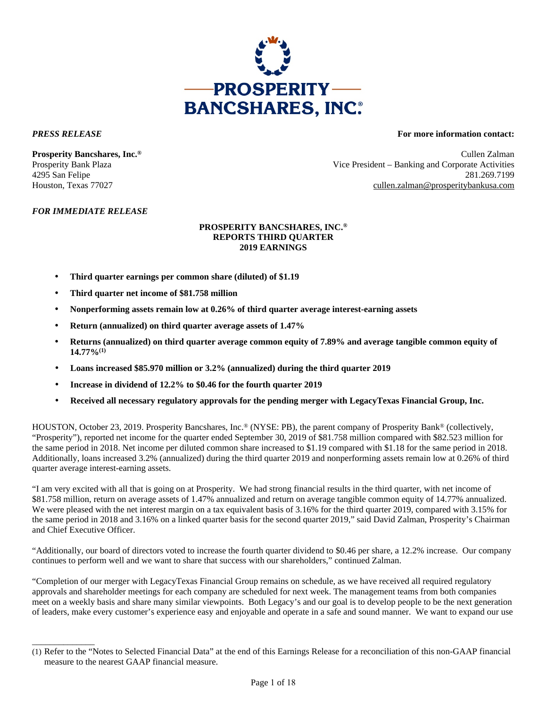

\_\_\_\_\_\_\_\_\_\_\_\_\_\_

### *PRESS RELEASE* **For more information contact:**

**Prosperity Bancshares, Inc.®** Cullen Zalman Prosperity Bank Plaza Vice President – Banking and Corporate Activities 4295 San Felipe 281.269.7199 Houston, Texas 77027 cullen.zalman@prosperitybankusa.com

## *FOR IMMEDIATE RELEASE*

### **PROSPERITY BANCSHARES, INC.® REPORTS THIRD QUARTER 2019 EARNINGS**

- **Third quarter earnings per common share (diluted) of \$1.19**
- **Third quarter net income of \$81.758 million**
- **Nonperforming assets remain low at 0.26% of third quarter average interest-earning assets**
- **Return (annualized) on third quarter average assets of 1.47%**
- **Returns (annualized) on third quarter average common equity of 7.89% and average tangible common equity of 14.77%(1)**
- **Loans increased \$85.970 million or 3.2% (annualized) during the third quarter 2019**
- **Increase in dividend of 12.2% to \$0.46 for the fourth quarter 2019**
- **Received all necessary regulatory approvals for the pending merger with LegacyTexas Financial Group, Inc.**

HOUSTON, October 23, 2019. Prosperity Bancshares, Inc.® (NYSE: PB), the parent company of Prosperity Bank® (collectively, "Prosperity"), reported net income for the quarter ended September 30, 2019 of \$81.758 million compared with \$82.523 million for the same period in 2018. Net income per diluted common share increased to \$1.19 compared with \$1.18 for the same period in 2018. Additionally, loans increased 3.2% (annualized) during the third quarter 2019 and nonperforming assets remain low at 0.26% of third quarter average interest-earning assets.

"I am very excited with all that is going on at Prosperity. We had strong financial results in the third quarter, with net income of \$81.758 million, return on average assets of 1.47% annualized and return on average tangible common equity of 14.77% annualized. We were pleased with the net interest margin on a tax equivalent basis of 3.16% for the third quarter 2019, compared with 3.15% for the same period in 2018 and 3.16% on a linked quarter basis for the second quarter 2019," said David Zalman, Prosperity's Chairman and Chief Executive Officer.

"Additionally, our board of directors voted to increase the fourth quarter dividend to \$0.46 per share, a 12.2% increase. Our company continues to perform well and we want to share that success with our shareholders," continued Zalman.

"Completion of our merger with LegacyTexas Financial Group remains on schedule, as we have received all required regulatory approvals and shareholder meetings for each company are scheduled for next week. The management teams from both companies meet on a weekly basis and share many similar viewpoints. Both Legacy's and our goal is to develop people to be the next generation of leaders, make every customer's experience easy and enjoyable and operate in a safe and sound manner. We want to expand our use

<sup>(1)</sup> Refer to the "Notes to Selected Financial Data" at the end of this Earnings Release for a reconciliation of this non-GAAP financial measure to the nearest GAAP financial measure.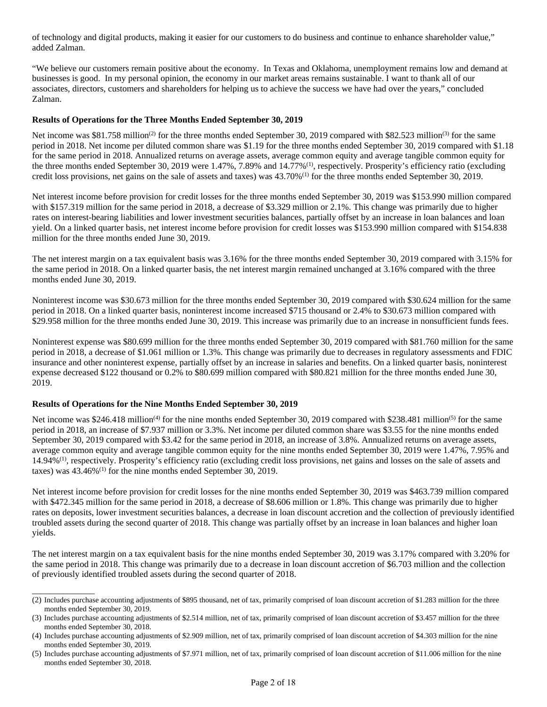of technology and digital products, making it easier for our customers to do business and continue to enhance shareholder value," added Zalman.

"We believe our customers remain positive about the economy. In Texas and Oklahoma, unemployment remains low and demand at businesses is good. In my personal opinion, the economy in our market areas remains sustainable. I want to thank all of our associates, directors, customers and shareholders for helping us to achieve the success we have had over the years," concluded Zalman.

### **Results of Operations for the Three Months Ended September 30, 2019**

Net income was \$81.758 million<sup>(2)</sup> for the three months ended September 30, 2019 compared with \$82.523 million<sup>(3)</sup> for the same period in 2018. Net income per diluted common share was \$1.19 for the three months ended September 30, 2019 compared with \$1.18 for the same period in 2018. Annualized returns on average assets, average common equity and average tangible common equity for the three months ended September 30, 2019 were 1.47%, 7.89% and 14.77%<sup>(1)</sup>, respectively. Prosperity's efficiency ratio (excluding credit loss provisions, net gains on the sale of assets and taxes) was 43.70%(1) for the three months ended September 30, 2019.

Net interest income before provision for credit losses for the three months ended September 30, 2019 was \$153.990 million compared with \$157.319 million for the same period in 2018, a decrease of \$3.329 million or 2.1%. This change was primarily due to higher rates on interest-bearing liabilities and lower investment securities balances, partially offset by an increase in loan balances and loan yield. On a linked quarter basis, net interest income before provision for credit losses was \$153.990 million compared with \$154.838 million for the three months ended June 30, 2019.

The net interest margin on a tax equivalent basis was 3.16% for the three months ended September 30, 2019 compared with 3.15% for the same period in 2018. On a linked quarter basis, the net interest margin remained unchanged at 3.16% compared with the three months ended June 30, 2019.

Noninterest income was \$30.673 million for the three months ended September 30, 2019 compared with \$30.624 million for the same period in 2018. On a linked quarter basis, noninterest income increased \$715 thousand or 2.4% to \$30.673 million compared with \$29.958 million for the three months ended June 30, 2019. This increase was primarily due to an increase in nonsufficient funds fees.

Noninterest expense was \$80.699 million for the three months ended September 30, 2019 compared with \$81.760 million for the same period in 2018, a decrease of \$1.061 million or 1.3%. This change was primarily due to decreases in regulatory assessments and FDIC insurance and other noninterest expense, partially offset by an increase in salaries and benefits. On a linked quarter basis, noninterest expense decreased \$122 thousand or 0.2% to \$80.699 million compared with \$80.821 million for the three months ended June 30, 2019.

### **Results of Operations for the Nine Months Ended September 30, 2019**

\_\_\_\_\_\_\_\_\_\_\_\_\_\_

Net income was \$246.418 million<sup>(4)</sup> for the nine months ended September 30, 2019 compared with \$238.481 million<sup>(5)</sup> for the same period in 2018, an increase of \$7.937 million or 3.3%. Net income per diluted common share was \$3.55 for the nine months ended September 30, 2019 compared with \$3.42 for the same period in 2018, an increase of 3.8%. Annualized returns on average assets, average common equity and average tangible common equity for the nine months ended September 30, 2019 were 1.47%, 7.95% and 14.94%(1), respectively. Prosperity's efficiency ratio (excluding credit loss provisions, net gains and losses on the sale of assets and taxes) was 43.46%(1) for the nine months ended September 30, 2019.

Net interest income before provision for credit losses for the nine months ended September 30, 2019 was \$463.739 million compared with \$472.345 million for the same period in 2018, a decrease of \$8.606 million or 1.8%. This change was primarily due to higher rates on deposits, lower investment securities balances, a decrease in loan discount accretion and the collection of previously identified troubled assets during the second quarter of 2018. This change was partially offset by an increase in loan balances and higher loan yields.

The net interest margin on a tax equivalent basis for the nine months ended September 30, 2019 was 3.17% compared with 3.20% for the same period in 2018. This change was primarily due to a decrease in loan discount accretion of \$6.703 million and the collection of previously identified troubled assets during the second quarter of 2018.

<sup>(2)</sup> Includes purchase accounting adjustments of \$895 thousand, net of tax, primarily comprised of loan discount accretion of \$1.283 million for the three months ended September 30, 2019.

<sup>(3)</sup> Includes purchase accounting adjustments of \$2.514 million, net of tax, primarily comprised of loan discount accretion of \$3.457 million for the three months ended September 30, 2018.

<sup>(4)</sup> Includes purchase accounting adjustments of \$2.909 million, net of tax, primarily comprised of loan discount accretion of \$4.303 million for the nine months ended September 30, 2019.

<sup>(5)</sup> Includes purchase accounting adjustments of \$7.971 million, net of tax, primarily comprised of loan discount accretion of \$11.006 million for the nine months ended September 30, 2018.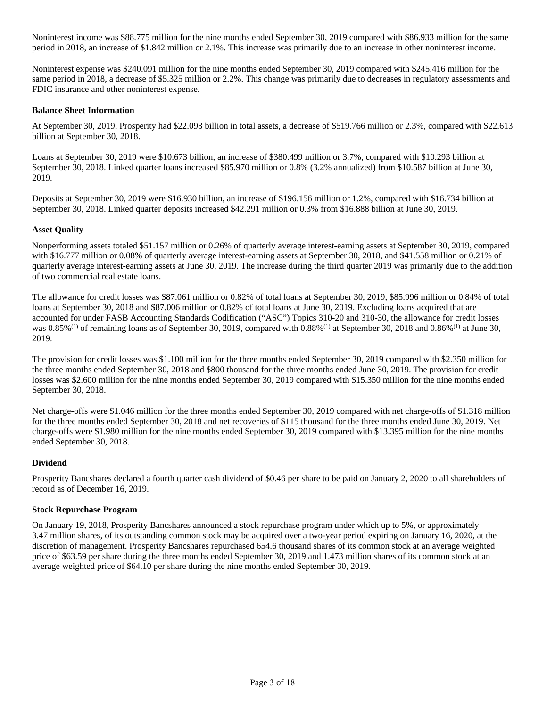Noninterest income was \$88.775 million for the nine months ended September 30, 2019 compared with \$86.933 million for the same period in 2018, an increase of \$1.842 million or 2.1%. This increase was primarily due to an increase in other noninterest income.

Noninterest expense was \$240.091 million for the nine months ended September 30, 2019 compared with \$245.416 million for the same period in 2018, a decrease of \$5.325 million or 2.2%. This change was primarily due to decreases in regulatory assessments and FDIC insurance and other noninterest expense.

### **Balance Sheet Information**

At September 30, 2019, Prosperity had \$22.093 billion in total assets, a decrease of \$519.766 million or 2.3%, compared with \$22.613 billion at September 30, 2018.

Loans at September 30, 2019 were \$10.673 billion, an increase of \$380.499 million or 3.7%, compared with \$10.293 billion at September 30, 2018. Linked quarter loans increased \$85.970 million or 0.8% (3.2% annualized) from \$10.587 billion at June 30, 2019.

Deposits at September 30, 2019 were \$16.930 billion, an increase of \$196.156 million or 1.2%, compared with \$16.734 billion at September 30, 2018. Linked quarter deposits increased \$42.291 million or 0.3% from \$16.888 billion at June 30, 2019.

### **Asset Quality**

Nonperforming assets totaled \$51.157 million or 0.26% of quarterly average interest-earning assets at September 30, 2019, compared with \$16.777 million or 0.08% of quarterly average interest-earning assets at September 30, 2018, and \$41.558 million or 0.21% of quarterly average interest-earning assets at June 30, 2019. The increase during the third quarter 2019 was primarily due to the addition of two commercial real estate loans.

The allowance for credit losses was \$87.061 million or 0.82% of total loans at September 30, 2019, \$85.996 million or 0.84% of total loans at September 30, 2018 and \$87.006 million or 0.82% of total loans at June 30, 2019. Excluding loans acquired that are accounted for under FASB Accounting Standards Codification ("ASC") Topics 310-20 and 310-30, the allowance for credit losses was  $0.85\%$ <sup>(1)</sup> of remaining loans as of September 30, 2019, compared with  $0.88\%$ <sup>(1)</sup> at September 30, 2018 and  $0.86\%$ <sup>(1)</sup> at June 30, 2019.

The provision for credit losses was \$1.100 million for the three months ended September 30, 2019 compared with \$2.350 million for the three months ended September 30, 2018 and \$800 thousand for the three months ended June 30, 2019. The provision for credit losses was \$2.600 million for the nine months ended September 30, 2019 compared with \$15.350 million for the nine months ended September 30, 2018.

Net charge-offs were \$1.046 million for the three months ended September 30, 2019 compared with net charge-offs of \$1.318 million for the three months ended September 30, 2018 and net recoveries of \$115 thousand for the three months ended June 30, 2019. Net charge-offs were \$1.980 million for the nine months ended September 30, 2019 compared with \$13.395 million for the nine months ended September 30, 2018.

### **Dividend**

Prosperity Bancshares declared a fourth quarter cash dividend of \$0.46 per share to be paid on January 2, 2020 to all shareholders of record as of December 16, 2019.

### **Stock Repurchase Program**

On January 19, 2018, Prosperity Bancshares announced a stock repurchase program under which up to 5%, or approximately 3.47 million shares, of its outstanding common stock may be acquired over a two-year period expiring on January 16, 2020, at the discretion of management. Prosperity Bancshares repurchased 654.6 thousand shares of its common stock at an average weighted price of \$63.59 per share during the three months ended September 30, 2019 and 1.473 million shares of its common stock at an average weighted price of \$64.10 per share during the nine months ended September 30, 2019.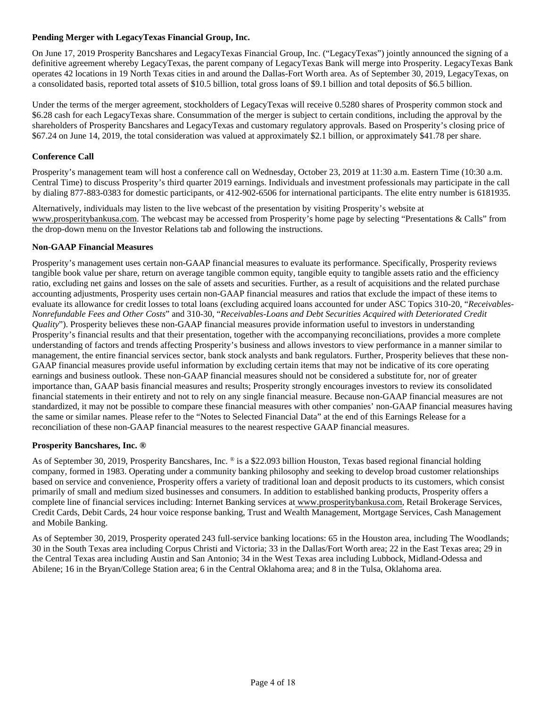## **Pending Merger with LegacyTexas Financial Group, Inc.**

On June 17, 2019 Prosperity Bancshares and LegacyTexas Financial Group, Inc. ("LegacyTexas") jointly announced the signing of a definitive agreement whereby LegacyTexas, the parent company of LegacyTexas Bank will merge into Prosperity. LegacyTexas Bank operates 42 locations in 19 North Texas cities in and around the Dallas-Fort Worth area. As of September 30, 2019, LegacyTexas, on a consolidated basis, reported total assets of \$10.5 billion, total gross loans of \$9.1 billion and total deposits of \$6.5 billion.

Under the terms of the merger agreement, stockholders of LegacyTexas will receive 0.5280 shares of Prosperity common stock and \$6.28 cash for each LegacyTexas share. Consummation of the merger is subject to certain conditions, including the approval by the shareholders of Prosperity Bancshares and LegacyTexas and customary regulatory approvals. Based on Prosperity's closing price of \$67.24 on June 14, 2019, the total consideration was valued at approximately \$2.1 billion, or approximately \$41.78 per share.

## **Conference Call**

Prosperity's management team will host a conference call on Wednesday, October 23, 2019 at 11:30 a.m. Eastern Time (10:30 a.m. Central Time) to discuss Prosperity's third quarter 2019 earnings. Individuals and investment professionals may participate in the call by dialing 877-883-0383 for domestic participants, or 412-902-6506 for international participants. The elite entry number is 6181935.

Alternatively, individuals may listen to the live webcast of the presentation by visiting Prosperity's website at www.prosperitybankusa.com. The webcast may be accessed from Prosperity's home page by selecting "Presentations & Calls" from the drop-down menu on the Investor Relations tab and following the instructions.

### **Non-GAAP Financial Measures**

Prosperity's management uses certain non-GAAP financial measures to evaluate its performance. Specifically, Prosperity reviews tangible book value per share, return on average tangible common equity, tangible equity to tangible assets ratio and the efficiency ratio, excluding net gains and losses on the sale of assets and securities. Further, as a result of acquisitions and the related purchase accounting adjustments, Prosperity uses certain non-GAAP financial measures and ratios that exclude the impact of these items to evaluate its allowance for credit losses to total loans (excluding acquired loans accounted for under ASC Topics 310-20, "*Receivables-Nonrefundable Fees and Other Costs*" and 310-30, "*Receivables-Loans and Debt Securities Acquired with Deteriorated Credit Quality*"). Prosperity believes these non-GAAP financial measures provide information useful to investors in understanding Prosperity's financial results and that their presentation, together with the accompanying reconciliations, provides a more complete understanding of factors and trends affecting Prosperity's business and allows investors to view performance in a manner similar to management, the entire financial services sector, bank stock analysts and bank regulators. Further, Prosperity believes that these non-GAAP financial measures provide useful information by excluding certain items that may not be indicative of its core operating earnings and business outlook. These non-GAAP financial measures should not be considered a substitute for, nor of greater importance than, GAAP basis financial measures and results; Prosperity strongly encourages investors to review its consolidated financial statements in their entirety and not to rely on any single financial measure. Because non-GAAP financial measures are not standardized, it may not be possible to compare these financial measures with other companies' non-GAAP financial measures having the same or similar names. Please refer to the "Notes to Selected Financial Data" at the end of this Earnings Release for a reconciliation of these non-GAAP financial measures to the nearest respective GAAP financial measures.

### **Prosperity Bancshares, Inc. ®**

As of September 30, 2019, Prosperity Bancshares, Inc. ® is a \$22.093 billion Houston, Texas based regional financial holding company, formed in 1983. Operating under a community banking philosophy and seeking to develop broad customer relationships based on service and convenience, Prosperity offers a variety of traditional loan and deposit products to its customers, which consist primarily of small and medium sized businesses and consumers. In addition to established banking products, Prosperity offers a complete line of financial services including: Internet Banking services at www.prosperitybankusa.com, Retail Brokerage Services, Credit Cards, Debit Cards, 24 hour voice response banking, Trust and Wealth Management, Mortgage Services, Cash Management and Mobile Banking.

As of September 30, 2019, Prosperity operated 243 full-service banking locations: 65 in the Houston area, including The Woodlands; 30 in the South Texas area including Corpus Christi and Victoria; 33 in the Dallas/Fort Worth area; 22 in the East Texas area; 29 in the Central Texas area including Austin and San Antonio; 34 in the West Texas area including Lubbock, Midland-Odessa and Abilene; 16 in the Bryan/College Station area; 6 in the Central Oklahoma area; and 8 in the Tulsa, Oklahoma area.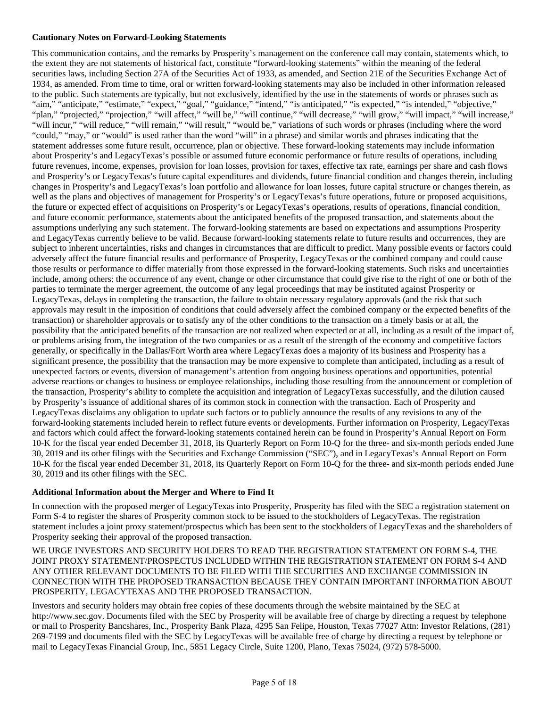### **Cautionary Notes on Forward-Looking Statements**

This communication contains, and the remarks by Prosperity's management on the conference call may contain, statements which, to the extent they are not statements of historical fact, constitute "forward-looking statements" within the meaning of the federal securities laws, including Section 27A of the Securities Act of 1933, as amended, and Section 21E of the Securities Exchange Act of 1934, as amended. From time to time, oral or written forward-looking statements may also be included in other information released to the public. Such statements are typically, but not exclusively, identified by the use in the statements of words or phrases such as "aim," "anticipate," "estimate," "expect," "goal," "guidance," "intend," "is anticipated," "is expected," "is intended," "objective," "plan," "projected," "projection," "will affect," "will be," "will continue," "will decrease," "will grow," "will impact," "will increase," "will incur," "will reduce," "will remain," "will result," "would be," variations of such words or phrases (including where the word "could," "may," or "would" is used rather than the word "will" in a phrase) and similar words and phrases indicating that the statement addresses some future result, occurrence, plan or objective. These forward-looking statements may include information about Prosperity's and LegacyTexas's possible or assumed future economic performance or future results of operations, including future revenues, income, expenses, provision for loan losses, provision for taxes, effective tax rate, earnings per share and cash flows and Prosperity's or LegacyTexas's future capital expenditures and dividends, future financial condition and changes therein, including changes in Prosperity's and LegacyTexas's loan portfolio and allowance for loan losses, future capital structure or changes therein, as well as the plans and objectives of management for Prosperity's or LegacyTexas's future operations, future or proposed acquisitions, the future or expected effect of acquisitions on Prosperity's or LegacyTexas's operations, results of operations, financial condition, and future economic performance, statements about the anticipated benefits of the proposed transaction, and statements about the assumptions underlying any such statement. The forward-looking statements are based on expectations and assumptions Prosperity and LegacyTexas currently believe to be valid. Because forward-looking statements relate to future results and occurrences, they are subject to inherent uncertainties, risks and changes in circumstances that are difficult to predict. Many possible events or factors could adversely affect the future financial results and performance of Prosperity, LegacyTexas or the combined company and could cause those results or performance to differ materially from those expressed in the forward-looking statements. Such risks and uncertainties include, among others: the occurrence of any event, change or other circumstance that could give rise to the right of one or both of the parties to terminate the merger agreement, the outcome of any legal proceedings that may be instituted against Prosperity or LegacyTexas, delays in completing the transaction, the failure to obtain necessary regulatory approvals (and the risk that such approvals may result in the imposition of conditions that could adversely affect the combined company or the expected benefits of the transaction) or shareholder approvals or to satisfy any of the other conditions to the transaction on a timely basis or at all, the possibility that the anticipated benefits of the transaction are not realized when expected or at all, including as a result of the impact of, or problems arising from, the integration of the two companies or as a result of the strength of the economy and competitive factors generally, or specifically in the Dallas/Fort Worth area where LegacyTexas does a majority of its business and Prosperity has a significant presence, the possibility that the transaction may be more expensive to complete than anticipated, including as a result of unexpected factors or events, diversion of management's attention from ongoing business operations and opportunities, potential adverse reactions or changes to business or employee relationships, including those resulting from the announcement or completion of the transaction, Prosperity's ability to complete the acquisition and integration of LegacyTexas successfully, and the dilution caused by Prosperity's issuance of additional shares of its common stock in connection with the transaction. Each of Prosperity and LegacyTexas disclaims any obligation to update such factors or to publicly announce the results of any revisions to any of the forward-looking statements included herein to reflect future events or developments. Further information on Prosperity, LegacyTexas and factors which could affect the forward-looking statements contained herein can be found in Prosperity's Annual Report on Form 10-K for the fiscal year ended December 31, 2018, its Quarterly Report on Form 10-Q for the three- and six-month periods ended June 30, 2019 and its other filings with the Securities and Exchange Commission ("SEC"), and in LegacyTexas's Annual Report on Form 10-K for the fiscal year ended December 31, 2018, its Quarterly Report on Form 10-Q for the three- and six-month periods ended June 30, 2019 and its other filings with the SEC.

### **Additional Information about the Merger and Where to Find It**

In connection with the proposed merger of LegacyTexas into Prosperity, Prosperity has filed with the SEC a registration statement on Form S-4 to register the shares of Prosperity common stock to be issued to the stockholders of LegacyTexas. The registration statement includes a joint proxy statement/prospectus which has been sent to the stockholders of LegacyTexas and the shareholders of Prosperity seeking their approval of the proposed transaction.

WE URGE INVESTORS AND SECURITY HOLDERS TO READ THE REGISTRATION STATEMENT ON FORM S-4, THE JOINT PROXY STATEMENT/PROSPECTUS INCLUDED WITHIN THE REGISTRATION STATEMENT ON FORM S-4 AND ANY OTHER RELEVANT DOCUMENTS TO BE FILED WITH THE SECURITIES AND EXCHANGE COMMISSION IN CONNECTION WITH THE PROPOSED TRANSACTION BECAUSE THEY CONTAIN IMPORTANT INFORMATION ABOUT PROSPERITY, LEGACYTEXAS AND THE PROPOSED TRANSACTION.

Investors and security holders may obtain free copies of these documents through the website maintained by the SEC at http://www.sec.gov. Documents filed with the SEC by Prosperity will be available free of charge by directing a request by telephone or mail to Prosperity Bancshares, Inc., Prosperity Bank Plaza, 4295 San Felipe, Houston, Texas 77027 Attn: Investor Relations, (281) 269-7199 and documents filed with the SEC by LegacyTexas will be available free of charge by directing a request by telephone or mail to LegacyTexas Financial Group, Inc., 5851 Legacy Circle, Suite 1200, Plano, Texas 75024, (972) 578-5000.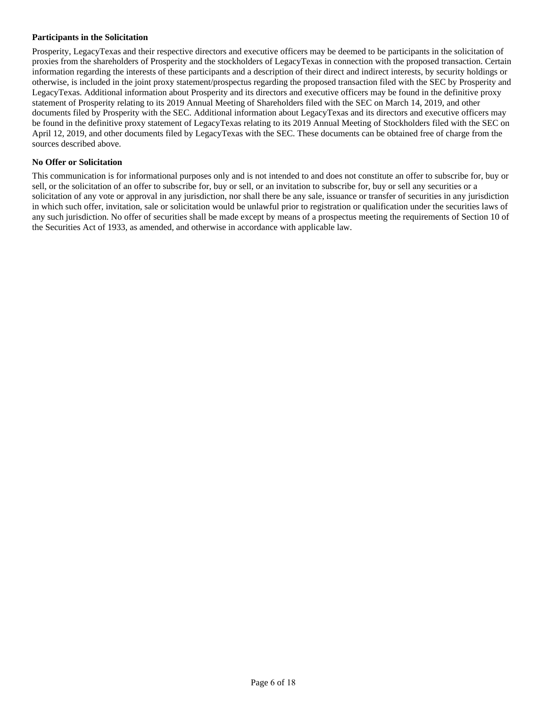### **Participants in the Solicitation**

Prosperity, LegacyTexas and their respective directors and executive officers may be deemed to be participants in the solicitation of proxies from the shareholders of Prosperity and the stockholders of LegacyTexas in connection with the proposed transaction. Certain information regarding the interests of these participants and a description of their direct and indirect interests, by security holdings or otherwise, is included in the joint proxy statement/prospectus regarding the proposed transaction filed with the SEC by Prosperity and LegacyTexas. Additional information about Prosperity and its directors and executive officers may be found in the definitive proxy statement of Prosperity relating to its 2019 Annual Meeting of Shareholders filed with the SEC on March 14, 2019, and other documents filed by Prosperity with the SEC. Additional information about LegacyTexas and its directors and executive officers may be found in the definitive proxy statement of LegacyTexas relating to its 2019 Annual Meeting of Stockholders filed with the SEC on April 12, 2019, and other documents filed by LegacyTexas with the SEC. These documents can be obtained free of charge from the sources described above.

### **No Offer or Solicitation**

This communication is for informational purposes only and is not intended to and does not constitute an offer to subscribe for, buy or sell, or the solicitation of an offer to subscribe for, buy or sell, or an invitation to subscribe for, buy or sell any securities or a solicitation of any vote or approval in any jurisdiction, nor shall there be any sale, issuance or transfer of securities in any jurisdiction in which such offer, invitation, sale or solicitation would be unlawful prior to registration or qualification under the securities laws of any such jurisdiction. No offer of securities shall be made except by means of a prospectus meeting the requirements of Section 10 of the Securities Act of 1933, as amended, and otherwise in accordance with applicable law.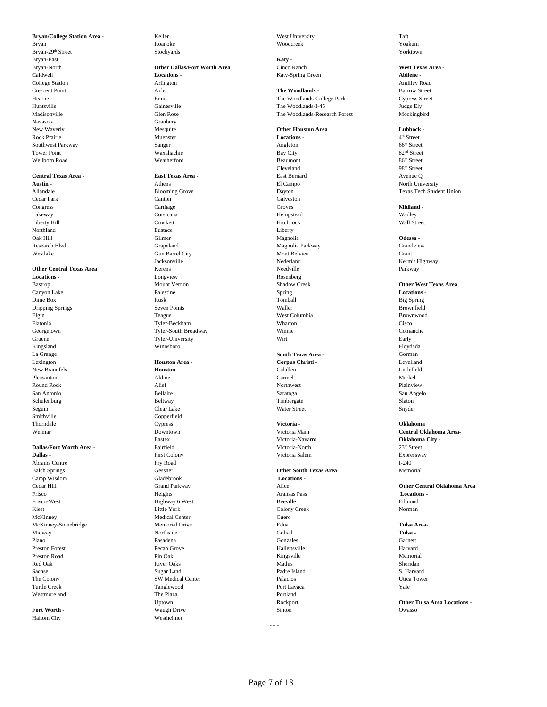Bryan Roanoke Roanoke Woodcreek Woodcreek Woodcreek Woodcreek Notes and the Monder of the Monder Monder of the Monder of the Monder of the Monder of the Monder of the Monder of the Monder of the Monder of the Monder of the Bryan-29th Street Stockyards Stockyards Stockyards Stockyards Stockyards Stockyards Stockyards Stockyards Stockyards Stockyards Stockyards Stockyards Stockyards Stockyards Stockyards Stockyards Stockyards Stockyards Stocky Bryan-East **Katy -** Navasota Granbury Rock Prairie Muenster **Locations -** 4 Southwest Parkway 66<sup>th</sup> Street Sanger Sanger Angleton Angleton 66<sup>th</sup> Street Tower Point 82<sup>nd</sup> Street Bay City 82<sup>nd</sup> Street Wellborn Road and So<sup>th</sup> Street Weatherford and Beaumont Beaumont 86<sup>th</sup> Street

# **Central Texas Area - East Texas Area -** East Bernard Avenue Q

### **Other Central Texas Area**

Gruene **Tyler-University** Wirt Wirt Early Early Kingsland Winnsboro Floydada Smithville Copperfield

**Dallas -** First Colony Prince of Prince of Prince of Prince of Prince of Prince of Prince of Prince of Prince of Prince of Prince of Prince of Prince of Prince of Prince of Prince of Prince of Prince of Prince of Prince o Abrams Centre **Fry Road** I-240 Camp Wisdom Gladebrook **Locations -** Frisco Heights Aransas Pass **Locations -** Frisco-West Edmond<br>
Edmond Highway 6 West Beeville Beeville Edmond<br>
Edmond Little York Colony Creek Norman Kiest Colony Creek Norman Colony Creek Norman Colony Creek Norman Colony Creek Norman Colony Creek Norman Colony Creek Norman Colony Creek Norman Colony Creek Norman Colony Creek Norman Colony Creek Norman Colony Creek Nor McKinney Medical Center Cuero McKinney-Stonebridge **Memorial Drive Edna Edna Tulsa Area-**Midway **Northside Collad** Goliad **Tulsa -** Northside Goliad Collad **Tulsa -** Collad Plano **Pasadena** Pasadena Garnett Garnett Garnett Garnett Garnett Garnett Garnett Garnett Garnett Garnett Garnett Garnett Garnett Garnett Garnett Garnett Garnett Garnett Garnett Garnett Garnett Garnett Garnett Garnett Garn Preston Forest Pecan Grove Hallettsville Harvard Preston Road Nemorial Pin Oak Pin Oak Nemorial Memorial Memorial Memorial Memorial Memorial Red Oak **River Oaks** River Oaks **River Sheridan** Mathis Sheridan Sheridan Sheridan Sheridan Sheridan Sheridan Sheridan Sheridan Sheridan Sheridan Sheridan Sheridan Sheridan Sheridan Sheridan Sheridan Sheridan Sheridan Sher Sachse Sugar Land Sugar Land Padre Island S. Harvard The Colony SW Medical Center Palacios Utica Tower Turtle Creek Tanglewood Port Lavaca Port Lavaca Port Sales Port Navaca Port Lavaca Port Lavaca Port Lavaca Port Lavaca Port Lavaca Port Lavaca Port Lavaca Port Lavaca Port Lavaca Port Lavaca Port Lavaca Port Lavaca Port La Westmoreland **The Plaza Portland** Portland **Properties** 

Haltom City Westheimer

## Bryan-North **Other Dallas/Fort Worth Area** Cinco Ranch **West Texas Area -** Caldwell **Locations -** College Station **Abilene -** College Station **Abilene** - College Station **Appleme** - Arrington College Station Arlington Antilley Road New Waverly **Channel Controllering Mesquite Channel Controllering Controllering Channel Controllering Channel Controllering Channel Area <b>Lubbock -**<br> **Continue Area** *Area Area Area Area Area Area Area Area*

Austin - **Athens** Athens **Austin - Athens Athens** El Campo **North University** Cedar Park Canton Galveston Congress Carthage Groves **Midland -** Lakeway Corsicana Hempstead Wadley Liberty Hill **Example 2018** Crockett **Hitchcock** Hitchcock **Wall Street** Northland Eustace Liberty Oak Hill **Odessa -** Gilmer Gilmer **Contained According Contained According Contained According Odessa -** Contained According Odessa -Research Blvd Grapeland Grapeland Grapeland Magnolia Parkway Grandview Grandview Westlake Gun Barrel City Mont Belvieu Grant Jacksonville Nederland Kermit Highway **Locations -** Longview **Rosenberg** Rosenberg Bastrop **Other West Texas Area** Mount Vernon **Mount Vernon** Shadow Creek **Other West Texas Area** Canyon Lake **Locations -** Palestine **Palestine** Spring Spring **Locations - Locations** - **Locations** - **Constant** Dime Box Big Spring Nusk Rusk Rusk Rusk Tomball Big Spring Box Big Spring Dripping Springs Seven Points Waller Brownfield Elgin Teague West Columbia Brownwood Flatonia Tyler-Beckham Wharton Cisco Georgetown Tyler-South Broadway Winnie Comanche

# Seguin Clear Lake Water Street Snyder Thorndale Cypress **Victoria - Oklahoma** Eastex Victoria-Navarro **Oklahoma City - Dallas/Fort Worth Area -** Fairfield First Colony **Contains a Container Contains 23<sup>rd</sup>** Street **Dallas - 23<sup>rd</sup>** Street **Dallas - 23<sup>rd</sup>** Street **Pallas - 23<sup>rd</sup>** Street **23rd** Street **23rd** Street **23rd** Street **23rd** St

**Bryan/College Station Area -** Keller Keller West University Taft Taft

Crescent Point **Azle** Azle **Azle The Woodlands - Barrow Street** Barrow Street Hearne Ennis The Woodlands-College Park Cypress Street Huntsville Gainesville The Woodlands-I-45 Judge Ely The Woodlands-Research Forest

Cleveland 98th Street

La Grange **South Texas Area -** Gorman Lexington **Houston Area - Corpus Christi -** Levelland New Braunfels **Houston - Houston - Calallen** Calallen **Calallen Calallen Littlefield** Pleasanton Aldine Carmel Merkel Round Rock **Alief** Alief **Round Rock Plainview Alief Northwest Plainview Plainview** San Antonio Bellaire Saratoga San Angelo Schulenburg Slaton Beltway Beltway Timbergate Slaton Slaton Slaton

### Balch Springs Gessner **Other South Texas Area** Memorial

**Fort Worth -** Construction of Construction Construction of Construction of Construction Owasso

<sup>4th</sup> Street<br>66<sup>th</sup> Street Allandale **Blooming Grove** Blooming Grove Dayton Dayton Texas Tech Student Union

Weimar Downtown Victoria Main **Central Oklahoma Area-**Cedar Hill Grand Parkway Alice **Other Central Oklahoma Area**

Uptown Rockport **Other Tulsa Area Locations -**

- - -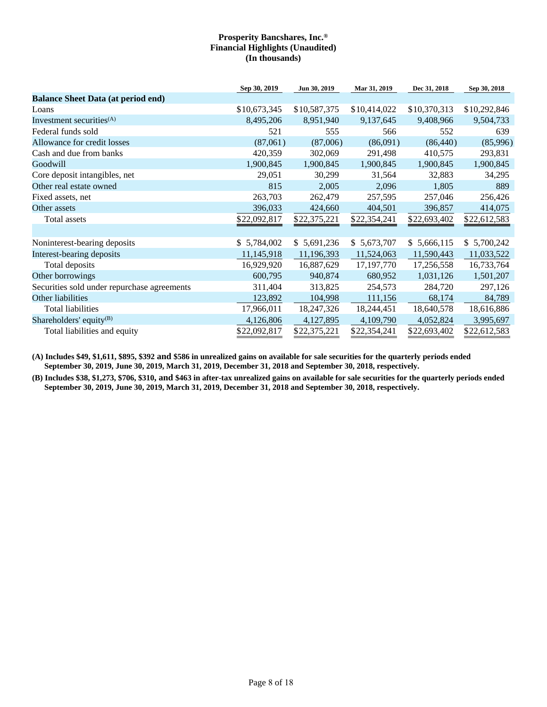|                                             | Sep 30, 2019 | Jun 30, 2019 | Mar 31, 2019 | Dec 31, 2018 | Sep 30, 2018 |
|---------------------------------------------|--------------|--------------|--------------|--------------|--------------|
| <b>Balance Sheet Data (at period end)</b>   |              |              |              |              |              |
| Loans                                       | \$10,673,345 | \$10,587,375 | \$10,414,022 | \$10,370,313 | \$10,292,846 |
| Investment securities <sup>(A)</sup>        | 8,495,206    | 8,951,940    | 9,137,645    | 9,408,966    | 9,504,733    |
| Federal funds sold                          | 521          | 555          | 566          | 552          | 639          |
| Allowance for credit losses                 | (87,061)     | (87,006)     | (86,091)     | (86, 440)    | (85,996)     |
| Cash and due from banks                     | 420,359      | 302,069      | 291,498      | 410,575      | 293,831      |
| Goodwill                                    | 1,900,845    | 1,900,845    | 1,900,845    | 1,900,845    | 1,900,845    |
| Core deposit intangibles, net               | 29,051       | 30,299       | 31,564       | 32,883       | 34,295       |
| Other real estate owned                     | 815          | 2,005        | 2,096        | 1,805        | 889          |
| Fixed assets, net                           | 263,703      | 262,479      | 257,595      | 257,046      | 256,426      |
| Other assets                                | 396,033      | 424,660      | 404,501      | 396,857      | 414,075      |
| Total assets                                | \$22,092,817 | \$22,375,221 | \$22,354,241 | \$22,693,402 | \$22,612,583 |
|                                             |              |              |              |              |              |
| Noninterest-bearing deposits                | \$5,784,002  | \$5,691,236  | \$5,673,707  | \$5,666,115  | \$5,700,242  |
| Interest-bearing deposits                   | 11,145,918   | 11,196,393   | 11,524,063   | 11,590,443   | 11,033,522   |
| Total deposits                              | 16,929,920   | 16,887,629   | 17, 197, 770 | 17,256,558   | 16,733,764   |
| Other borrowings                            | 600,795      | 940,874      | 680,952      | 1,031,126    | 1,501,207    |
| Securities sold under repurchase agreements | 311,404      | 313,825      | 254,573      | 284,720      | 297,126      |
| Other liabilities                           | 123,892      | 104,998      | 111,156      | 68,174       | 84,789       |
| <b>Total liabilities</b>                    | 17,966,011   | 18,247,326   | 18,244,451   | 18,640,578   | 18,616,886   |
| Shareholders' equity <sup>(B)</sup>         | 4,126,806    | 4,127,895    | 4,109,790    | 4,052,824    | 3,995,697    |
| Total liabilities and equity                | \$22,092,817 | \$22,375,221 | \$22,354,241 | \$22,693,402 | \$22,612,583 |

**(A) Includes \$49, \$1,611, \$895, \$392 and \$586 in unrealized gains on available for sale securities for the quarterly periods ended September 30, 2019, June 30, 2019, March 31, 2019, December 31, 2018 and September 30, 2018, respectively.**

**(B) Includes \$38, \$1,273, \$706, \$310, and \$463 in after-tax unrealized gains on available for sale securities for the quarterly periods ended September 30, 2019, June 30, 2019, March 31, 2019, December 31, 2018 and September 30, 2018, respectively.**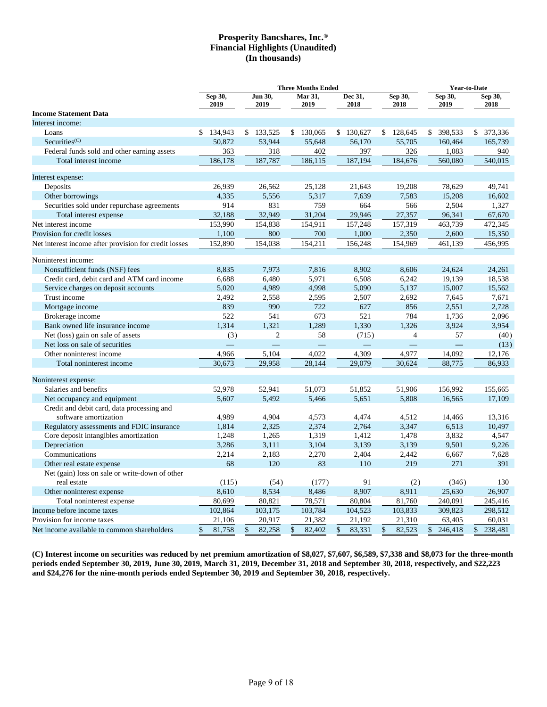|                                                       |                 | <b>Three Months Ended</b> |                 |    |                 |    |                 | <b>Year-to-Date</b> |                 |                 |    |                 |
|-------------------------------------------------------|-----------------|---------------------------|-----------------|----|-----------------|----|-----------------|---------------------|-----------------|-----------------|----|-----------------|
|                                                       | Sep 30,<br>2019 |                           | Jun 30,<br>2019 |    | Mar 31,<br>2019 |    | Dec 31,<br>2018 |                     | Sep 30,<br>2018 | Sep 30,<br>2019 |    | Sep 30,<br>2018 |
| <b>Income Statement Data</b>                          |                 |                           |                 |    |                 |    |                 |                     |                 |                 |    |                 |
| Interest income:                                      |                 |                           |                 |    |                 |    |                 |                     |                 |                 |    |                 |
| Loans                                                 | \$134,943       |                           | \$133,525       |    | \$130,065       |    | \$130,627       |                     | \$128,645       | \$<br>398,533   |    | \$ 373,336      |
| Securities <sup>(C)</sup>                             | 50,872          |                           | 53,944          |    | 55,648          |    | 56,170          |                     | 55,705          | 160,464         |    | 165,739         |
| Federal funds sold and other earning assets           | 363             |                           | 318             |    | 402             |    | 397             |                     | 326             | 1,083           |    | 940             |
| Total interest income                                 | 186,178         |                           | 187,787         |    | 186,115         |    | 187,194         |                     | 184,676         | 560,080         |    | 540,015         |
| Interest expense:                                     |                 |                           |                 |    |                 |    |                 |                     |                 |                 |    |                 |
| Deposits                                              | 26.939          |                           | 26,562          |    | 25.128          |    | 21.643          |                     | 19,208          | 78.629          |    | 49.741          |
| Other borrowings                                      | 4,335           |                           | 5,556           |    | 5,317           |    | 7,639           |                     | 7,583           | 15,208          |    | 16,602          |
| Securities sold under repurchase agreements           | 914             |                           | 831             |    | 759             |    | 664             |                     | 566             | 2,504           |    | 1,327           |
| Total interest expense                                | 32,188          |                           | 32,949          |    | 31,204          |    | 29,946          |                     | 27,357          | 96,341          |    | 67,670          |
| Net interest income                                   | 153,990         |                           | 154,838         |    | 154,911         |    | 157,248         |                     | 157,319         | 463,739         |    | 472,345         |
| Provision for credit losses                           | 1,100           |                           | 800             |    | 700             |    | 1,000           |                     | 2,350           | 2,600           |    | 15,350          |
| Net interest income after provision for credit losses | 152,890         |                           | 154,038         |    | 154,211         |    | 156,248         |                     | 154,969         | 461,139         |    | 456,995         |
| Noninterest income:                                   |                 |                           |                 |    |                 |    |                 |                     |                 |                 |    |                 |
| Nonsufficient funds (NSF) fees                        | 8,835           |                           | 7,973           |    | 7,816           |    | 8,902           |                     | 8,606           | 24,624          |    | 24,261          |
| Credit card, debit card and ATM card income           | 6,688           |                           | 6,480           |    | 5,971           |    | 6,508           |                     | 6,242           | 19,139          |    | 18,538          |
| Service charges on deposit accounts                   | 5,020           |                           | 4,989           |    | 4,998           |    | 5,090           |                     | 5,137           | 15,007          |    | 15,562          |
| Trust income                                          | 2,492           |                           | 2,558           |    | 2,595           |    | 2,507           |                     | 2,692           | 7,645           |    | 7,671           |
| Mortgage income                                       | 839             |                           | 990             |    | 722             |    | 627             |                     | 856             | 2,551           |    | 2,728           |
| Brokerage income                                      | 522             |                           | 541             |    | 673             |    | 521             |                     | 784             | 1,736           |    | 2,096           |
| Bank owned life insurance income                      | 1,314           |                           | 1,321           |    | 1,289           |    | 1,330           |                     | 1,326           | 3,924           |    | 3,954           |
| Net (loss) gain on sale of assets                     | (3)             |                           | $\overline{2}$  |    | 58              |    | (715)           |                     | $\overline{4}$  | 57              |    | (40)            |
| Net loss on sale of securities                        |                 |                           |                 |    |                 |    |                 |                     |                 |                 |    | (13)            |
| Other noninterest income                              | 4,966           |                           | 5,104           |    | 4,022           |    | 4,309           |                     | 4,977           | 14,092          |    | 12,176          |
| Total noninterest income                              | 30,673          |                           | 29,958          |    | 28,144          |    | 29,079          |                     | 30,624          | 88,775          |    | 86,933          |
|                                                       |                 |                           |                 |    |                 |    |                 |                     |                 |                 |    |                 |
| Noninterest expense:                                  |                 |                           |                 |    |                 |    |                 |                     |                 |                 |    |                 |
| Salaries and benefits                                 | 52,978          |                           | 52,941          |    | 51,073          |    | 51,852          |                     | 51,906          | 156,992         |    | 155,665         |
| Net occupancy and equipment                           | 5,607           |                           | 5,492           |    | 5,466           |    | 5,651           |                     | 5,808           | 16,565          |    | 17,109          |
| Credit and debit card, data processing and            |                 |                           |                 |    |                 |    |                 |                     |                 |                 |    |                 |
| software amortization                                 | 4,989           |                           | 4,904           |    | 4,573           |    | 4,474           |                     | 4,512           | 14,466          |    | 13,316          |
| Regulatory assessments and FDIC insurance             | 1,814           |                           | 2,325           |    | 2,374           |    | 2,764           |                     | 3,347           | 6,513           |    | 10,497          |
| Core deposit intangibles amortization                 | 1,248           |                           | 1,265           |    | 1,319           |    | 1,412           |                     | 1,478           | 3,832           |    | 4,547           |
| Depreciation                                          | 3,286           |                           | 3,111           |    | 3,104           |    | 3,139           |                     | 3,139           | 9,501           |    | 9,226           |
| Communications                                        | 2,214           |                           | 2,183           |    | 2,270           |    | 2,404           |                     | 2,442           | 6,667           |    | 7,628           |
| Other real estate expense                             | 68              |                           | 120             |    | 83              |    | 110             |                     | 219             | 271             |    | 391             |
| Net (gain) loss on sale or write-down of other        |                 |                           |                 |    |                 |    |                 |                     |                 |                 |    |                 |
| real estate                                           | (115)           |                           | (54)            |    | (177)           |    | 91              |                     | (2)             | (346)           |    | 130             |
| Other noninterest expense                             | 8,610           |                           | 8,534           |    | 8,486           |    | 8,907           |                     | 8,911           | 25,630          |    | 26,907          |
| Total noninterest expense                             | 80,699          |                           | 80,821          |    | 78,571          |    | 80,804          |                     | 81,760          | 240,091         |    | 245,416         |
| Income before income taxes                            | 102,864         |                           | 103,175         |    | 103,784         |    | 104,523         |                     | 103,833         | 309,823         |    | 298,512         |
| Provision for income taxes                            | 21,106          |                           | 20,917          |    | 21,382          |    | 21,192          |                     | 21,310          | 63,405          |    | 60,031          |
| Net income available to common shareholders           | 81,758<br>\$    | \$                        | 82,258          | \$ | 82,402          | \$ | 83,331          | \$                  | 82,523          | \$<br>246,418   | \$ | 238,481         |

**(C) Interest income on securities was reduced by net premium amortization of \$8,027, \$7,607, \$6,589, \$7,338 and \$8,073 for the three-month periods ended September 30, 2019, June 30, 2019, March 31, 2019, December 31, 2018 and September 30, 2018, respectively, and \$22,223 and \$24,276 for the nine-month periods ended September 30, 2019 and September 30, 2018, respectively.**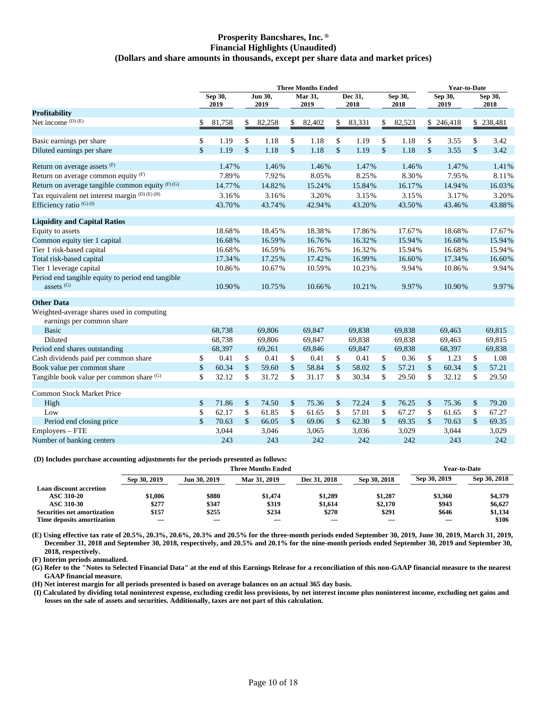### **Prosperity Bancshares, Inc. ® Financial Highlights (Unaudited) (Dollars and share amounts in thousands, except per share data and market prices)**

|                                                                            | <b>Three Months Ended</b> |                 |               |                 |               |                 | <b>Year-to-Date</b> |                 |               |                 |                    |                 |              |                 |
|----------------------------------------------------------------------------|---------------------------|-----------------|---------------|-----------------|---------------|-----------------|---------------------|-----------------|---------------|-----------------|--------------------|-----------------|--------------|-----------------|
|                                                                            |                           | Sep 30,<br>2019 |               | Jun 30,<br>2019 |               | Mar 31,<br>2019 |                     | Dec 31,<br>2018 |               | Sep 30,<br>2018 |                    | Sep 30,<br>2019 |              | Sep 30,<br>2018 |
| <b>Profitability</b>                                                       |                           |                 |               |                 |               |                 |                     |                 |               |                 |                    |                 |              |                 |
| Net income (D) (E)                                                         | \$                        | 81,758          | \$            | 82,258          | \$            | 82,402          | \$                  | 83,331          | \$            | 82,523          |                    | \$246,418       |              | \$238,481       |
| Basic earnings per share                                                   | \$                        | 1.19            | \$            | 1.18            | \$            | 1.18            | \$                  | 1.19            | \$            | 1.18            | \$                 | 3.55            | \$           | 3.42            |
| Diluted earnings per share                                                 | $\mathsf{\$}$             | 1.19            | $\mathcal{S}$ | 1.18            | $\mathsf{\$}$ | 1.18            | $\mathsf{\$}$       | 1.19            | \$            | 1.18            | $\mathsf{\$}$      | 3.55            | \$           | 3.42            |
| Return on average assets (F)                                               |                           | 1.47%           |               | 1.46%           |               | 1.46%           |                     | 1.47%           |               | 1.46%           |                    | 1.47%           |              | 1.41%           |
| Return on average common equity $(F)$                                      |                           | 7.89%           |               | 7.92%           |               | 8.05%           |                     | 8.25%           |               | 8.30%           |                    | 7.95%           |              | 8.11%           |
| Return on average tangible common equity (F)(G)                            |                           | 14.77%          |               | 14.82%          |               | 15.24%          |                     | 15.84%          |               | 16.17%          |                    | 14.94%          |              | 16.03%          |
| Tax equivalent net interest margin (D) (E) (H)                             |                           | 3.16%           |               | 3.16%           |               | 3.20%           |                     | 3.15%           |               | 3.15%           |                    | 3.17%           |              | 3.20%           |
| Efficiency ratio (G)(I)                                                    |                           | 43.70%          |               | 43.74%          |               | 42.94%          |                     | 43.20%          |               | 43.50%          |                    | 43.46%          |              | 43.88%          |
| <b>Liquidity and Capital Ratios</b>                                        |                           |                 |               |                 |               |                 |                     |                 |               |                 |                    |                 |              |                 |
| Equity to assets                                                           |                           | 18.68%          |               | 18.45%          |               | 18.38%          |                     | 17.86%          |               | 17.67%          |                    | 18.68%          |              | 17.67%          |
| Common equity tier 1 capital                                               |                           | 16.68%          |               | 16.59%          |               | 16.76%          |                     | 16.32%          |               | 15.94%          |                    | 16.68%          |              | 15.94%          |
| Tier 1 risk-based capital                                                  |                           | 16.68%          |               | 16.59%          |               | 16.76%          |                     | 16.32%          |               | 15.94%          |                    | 16.68%          |              | 15.94%          |
| Total risk-based capital                                                   |                           | 17.34%          |               | 17.25%          |               | 17.42%          |                     | 16.99%          |               | 16.60%          |                    | 17.34%          |              | 16.60%          |
| Tier 1 leverage capital                                                    |                           | 10.86%          |               | 10.67%          |               | 10.59%          |                     | 10.23%          |               | 9.94%           |                    | 10.86%          |              | 9.94%           |
| Period end tangible equity to period end tangible<br>assets <sup>(G)</sup> |                           | 10.90%          |               | 10.75%          |               | 10.66%          |                     | 10.21%          |               | 9.97%           |                    | 10.90%          |              | 9.97%           |
|                                                                            |                           |                 |               |                 |               |                 |                     |                 |               |                 |                    |                 |              |                 |
| <b>Other Data</b>                                                          |                           |                 |               |                 |               |                 |                     |                 |               |                 |                    |                 |              |                 |
| Weighted-average shares used in computing<br>earnings per common share     |                           |                 |               |                 |               |                 |                     |                 |               |                 |                    |                 |              |                 |
| <b>Basic</b>                                                               |                           | 68,738          |               | 69,806          |               | 69,847          |                     | 69,838          |               | 69,838          |                    | 69,463          |              | 69.815          |
| Diluted                                                                    |                           | 68,738          |               | 69,806          |               | 69,847          |                     | 69,838          |               | 69,838          |                    | 69,463          |              | 69,815          |
| Period end shares outstanding                                              |                           | 68,397          |               | 69,261          |               | 69,846          |                     | 69,847          |               | 69,838          |                    | 68,397          |              | 69,838          |
| Cash dividends paid per common share                                       | \$                        | 0.41            | \$            | 0.41            | \$            | 0.41            | \$                  | 0.41            | \$            | 0.36            | \$                 | 1.23            | \$           | 1.08            |
| Book value per common share                                                | \$                        | 60.34           | $\mathsf{\$}$ | 59.60           | $\mathsf{\$}$ | 58.84           | \$                  | 58.02           | \$            | 57.21           | $\mathbf{\hat{S}}$ | 60.34           | $\mathbb{S}$ | 57.21           |
| Tangible book value per common share (G)                                   | \$                        | 32.12           | \$            | 31.72           | \$            | 31.17           | \$                  | 30.34           | \$            | 29.50           | \$                 | 32.12           | \$           | 29.50           |
| Common Stock Market Price                                                  |                           |                 |               |                 |               |                 |                     |                 |               |                 |                    |                 |              |                 |
| High                                                                       | \$                        | 71.86           | \$            | 74.50           | \$            | 75.36           | \$                  | 72.24           | \$            | 76.25           | \$                 | 75.36           | \$           | 79.20           |
| Low                                                                        | \$                        | 62.17           | \$            | 61.85           | \$            | 61.65           | \$                  | 57.01           | \$            | 67.27           | \$                 | 61.65           | \$           | 67.27           |
| Period end closing price                                                   | \$                        | 70.63           | $\mathsf{\$}$ | 66.05           | \$            | 69.06           | $\mathsf{\$}$       | 62.30           | $\mathsf{\$}$ | 69.35           | \$                 | 70.63           | \$           | 69.35           |
| Employees – FTE                                                            |                           | 3,044           |               | 3,046           |               | 3,065           |                     | 3,036           |               | 3,029           |                    | 3,044           |              | 3,029           |
| Number of banking centers                                                  |                           | 243             |               | 243             |               | 242             |                     | 242             |               | 242             |                    | 243             |              | 242             |

### **(D) Includes purchase accounting adjustments for the periods presented as follows:**

|                             |              |              | <b>Three Months Ended</b> |                          |              |              | <b>Year-to-Date</b> |
|-----------------------------|--------------|--------------|---------------------------|--------------------------|--------------|--------------|---------------------|
|                             | Sep 30, 2019 | Jun 30, 2019 | Mar 31, 2019              | Dec 31, 2018             | Sep 30, 2018 | Sep 30, 2019 | Sep 30, 2018        |
| Loan discount accretion     |              |              |                           |                          |              |              |                     |
| <b>ASC 310-20</b>           | \$1.006      | \$880        | \$1.474                   | \$1.289                  | \$1,287      | \$3.360      | \$4,379             |
| ASC 310-30                  | \$277        | \$347        | \$319                     | \$1.614                  | \$2,170      | \$943        | \$6,627             |
| Securities net amortization | \$157        | \$255        | \$234                     | \$270                    | \$291        | \$646        | \$1,134             |
| Time deposits amortization  |              |              | $\overline{\phantom{a}}$  | $\overline{\phantom{a}}$ |              |              | \$106               |

**(E) Using effective tax rate of 20.5%, 20.3%, 20.6%, 20.3% and 20.5% for the three-month periods ended September 30, 2019, June 30, 2019, March 31, 2019, December 31, 2018 and September 30, 2018, respectively, and 20.5% and 20.1% for the nine-month periods ended September 30, 2019 and September 30, 2018, respectively.**

**(F) Interim periods annualized.**

**(G) Refer to the "Notes to Selected Financial Data" at the end of this Earnings Release for a reconciliation of this non-GAAP financial measure to the nearest GAAP financial measure.**

**(H) Net interest margin for all periods presented is based on average balances on an actual 365 day basis.**

**(I) Calculated by dividing total noninterest expense, excluding credit loss provisions, by net interest income plus noninterest income, excluding net gains and losses on the sale of assets and securities. Additionally, taxes are not part of this calculation.**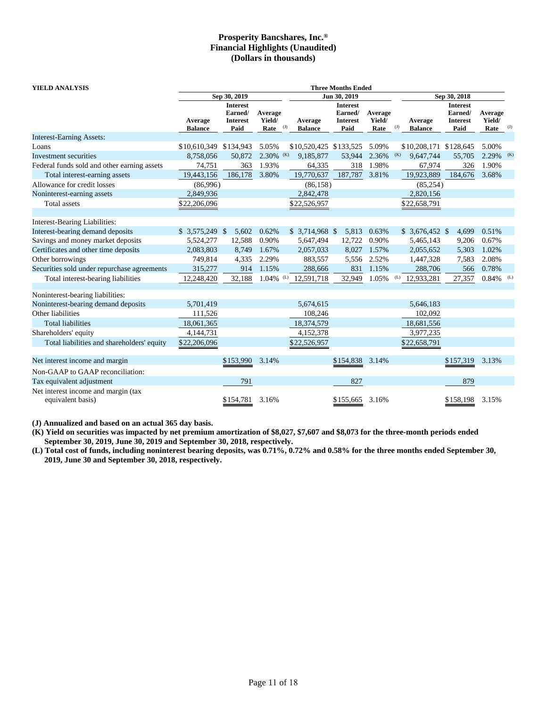| <b>YIELD ANALYSIS</b>                       | <b>Three Months Ended</b> |                                                       |                           |     |                           |                                                       |                           |           |                           |                                                       |                           |              |  |
|---------------------------------------------|---------------------------|-------------------------------------------------------|---------------------------|-----|---------------------------|-------------------------------------------------------|---------------------------|-----------|---------------------------|-------------------------------------------------------|---------------------------|--------------|--|
|                                             |                           | Sep 30, 2019                                          |                           |     |                           | Jun 30, 2019                                          |                           |           |                           | Sep 30, 2018                                          |                           |              |  |
|                                             | Average<br><b>Balance</b> | <b>Interest</b><br>Earned/<br><b>Interest</b><br>Paid | Average<br>Yield/<br>Rate | (J) | Average<br><b>Balance</b> | <b>Interest</b><br>Earned/<br><b>Interest</b><br>Paid | Average<br>Yield/<br>Rate | $($ J $)$ | Average<br><b>Balance</b> | <b>Interest</b><br>Earned/<br><b>Interest</b><br>Paid | Average<br>Yield/<br>Rate | $_{\rm (J)}$ |  |
| <b>Interest-Earning Assets:</b>             |                           |                                                       |                           |     |                           |                                                       |                           |           |                           |                                                       |                           |              |  |
| Loans                                       | \$10,610,349 \$134,943    |                                                       | 5.05%                     |     | \$10,520,425 \$133,525    |                                                       | 5.09%                     |           | \$10,208,171 \$128,645    |                                                       | 5.00%                     |              |  |
| Investment securities                       | 8,758,056                 | 50,872                                                | 2.30%                     | (K) | 9.185.877                 | 53,944                                                | 2.36%                     | (K)       | 9.647.744                 | 55,705                                                | 2.29%                     | (K)          |  |
| Federal funds sold and other earning assets | 74,751                    | 363                                                   | 1.93%                     |     | 64,335                    | 318                                                   | 1.98%                     |           | 67,974                    | 326                                                   | 1.90%                     |              |  |
| Total interest-earning assets               | 19,443,156                | 186,178                                               | 3.80%                     |     | 19,770,637                | 187,787                                               | 3.81%                     |           | 19,923,889                | 184,676                                               | 3.68%                     |              |  |
| Allowance for credit losses                 | (86,996)                  |                                                       |                           |     | (86, 158)                 |                                                       |                           |           | (85, 254)                 |                                                       |                           |              |  |
| Noninterest-earning assets                  | 2,849,936                 |                                                       |                           |     | 2,842,478                 |                                                       |                           |           | 2,820,156                 |                                                       |                           |              |  |
| Total assets                                | \$22,206,096              |                                                       |                           |     | \$22,526,957              |                                                       |                           |           | \$22,658,791              |                                                       |                           |              |  |
| Interest-Bearing Liabilities:               |                           |                                                       |                           |     |                           |                                                       |                           |           |                           |                                                       |                           |              |  |
| Interest-bearing demand deposits            | $$3,575,249$ \;           | 5,602                                                 | 0.62%                     |     | $$3,714,968$ \$           | 5,813                                                 | 0.63%                     |           | $$3,676,452$ \$           | 4,699                                                 | 0.51%                     |              |  |
| Savings and money market deposits           | 5,524,277                 | 12,588                                                | 0.90%                     |     | 5,647,494                 | 12,722                                                | 0.90%                     |           | 5,465,143                 | 9,206                                                 | 0.67%                     |              |  |
| Certificates and other time deposits        | 2,083,803                 | 8,749                                                 | 1.67%                     |     | 2,057,033                 | 8,027                                                 | 1.57%                     |           | 2,055,652                 | 5,303                                                 | 1.02%                     |              |  |
| Other borrowings                            | 749,814                   | 4,335                                                 | 2.29%                     |     | 883,557                   | 5,556                                                 | 2.52%                     |           | 1,447,328                 | 7,583                                                 | 2.08%                     |              |  |
| Securities sold under repurchase agreements | 315,277                   | 914                                                   | 1.15%                     |     | 288,666                   | 831                                                   | 1.15%                     |           | 288,706                   | 566                                                   | 0.78%                     |              |  |
| Total interest-bearing liabilities          | 12,248,420                | 32,188                                                | $1.04\%$ (L)              |     | 12,591,718                | 32,949                                                | 1.05%                     | (L)       | 12,933,281                | 27,357                                                | 0.84%                     | (L)          |  |
| Noninterest-bearing liabilities:            |                           |                                                       |                           |     |                           |                                                       |                           |           |                           |                                                       |                           |              |  |
| Noninterest-bearing demand deposits         | 5,701,419                 |                                                       |                           |     | 5,674,615                 |                                                       |                           |           | 5,646,183                 |                                                       |                           |              |  |
| Other liabilities                           | 111,526                   |                                                       |                           |     | 108,246                   |                                                       |                           |           | 102,092                   |                                                       |                           |              |  |
| <b>Total liabilities</b>                    | 18,061,365                |                                                       |                           |     | 18,374,579                |                                                       |                           |           | 18,681,556                |                                                       |                           |              |  |
| Shareholders' equity                        | 4,144,731                 |                                                       |                           |     | 4,152,378                 |                                                       |                           |           | 3,977,235                 |                                                       |                           |              |  |
| Total liabilities and shareholders' equity  | \$22,206,096              |                                                       |                           |     | \$22,526,957              |                                                       |                           |           | \$22,658,791              |                                                       |                           |              |  |
| Net interest income and margin              |                           | \$153,990                                             | 3.14%                     |     |                           | \$154,838                                             | 3.14%                     |           |                           | \$157,319                                             | 3.13%                     |              |  |
| Non-GAAP to GAAP reconciliation:            |                           |                                                       |                           |     |                           |                                                       |                           |           |                           |                                                       |                           |              |  |
| Tax equivalent adjustment                   |                           | 791                                                   |                           |     |                           | 827                                                   |                           |           |                           | 879                                                   |                           |              |  |
| Net interest income and margin (tax         |                           |                                                       |                           |     |                           |                                                       |                           |           |                           |                                                       |                           |              |  |
| equivalent basis)                           |                           | \$154,781                                             | 3.16%                     |     |                           | \$155,665                                             | 3.16%                     |           |                           | \$158,198                                             | 3.15%                     |              |  |

**(J) Annualized and based on an actual 365 day basis.**

**(K) Yield on securities was impacted by net premium amortization of \$8,027, \$7,607 and \$8,073 for the three-month periods ended September 30, 2019, June 30, 2019 and September 30, 2018, respectively.**

**(L) Total cost of funds, including noninterest bearing deposits, was 0.71%, 0.72% and 0.58% for the three months ended September 30, 2019, June 30 and September 30, 2018, respectively.**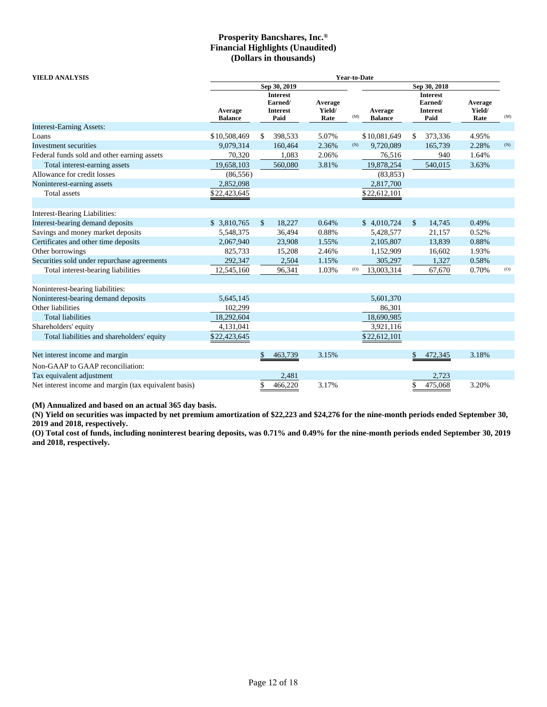| <b>YIELD ANALYSIS</b>                                 | <b>Year-to-Date</b>       |              |                                                       |                           |     |                           |              |                                                       |                           |     |
|-------------------------------------------------------|---------------------------|--------------|-------------------------------------------------------|---------------------------|-----|---------------------------|--------------|-------------------------------------------------------|---------------------------|-----|
|                                                       |                           |              | Sep 30, 2019                                          |                           |     |                           |              | Sep 30, 2018                                          |                           |     |
|                                                       | Average<br><b>Balance</b> |              | <b>Interest</b><br>Earned/<br><b>Interest</b><br>Paid | Average<br>Yield/<br>Rate | (M) | Average<br><b>Balance</b> |              | <b>Interest</b><br>Earned/<br><b>Interest</b><br>Paid | Average<br>Yield/<br>Rate | (M) |
| <b>Interest-Earning Assets:</b>                       |                           |              |                                                       |                           |     |                           |              |                                                       |                           |     |
| Loans                                                 | \$10,508,469              | \$           | 398,533                                               | 5.07%                     |     | \$10,081,649              | \$           | 373,336                                               | 4.95%                     |     |
| Investment securities                                 | 9,079,314                 |              | 160,464                                               | 2.36%                     | (N) | 9,720,089                 |              | 165,739                                               | 2.28%                     | (N) |
| Federal funds sold and other earning assets           | 70,320                    |              | 1,083                                                 | 2.06%                     |     | 76,516                    |              | 940                                                   | 1.64%                     |     |
| Total interest-earning assets                         | 19,658,103                |              | 560,080                                               | 3.81%                     |     | 19,878,254                |              | 540,015                                               | 3.63%                     |     |
| Allowance for credit losses                           | (86, 556)                 |              |                                                       |                           |     | (83, 853)                 |              |                                                       |                           |     |
| Noninterest-earning assets                            | 2,852,098                 |              |                                                       |                           |     | 2,817,700                 |              |                                                       |                           |     |
| Total assets                                          | \$22,423,645              |              |                                                       |                           |     | \$22,612,101              |              |                                                       |                           |     |
|                                                       |                           |              |                                                       |                           |     |                           |              |                                                       |                           |     |
| Interest-Bearing Liabilities:                         |                           |              |                                                       |                           |     |                           |              |                                                       |                           |     |
| Interest-bearing demand deposits                      | \$ 3,810,765              | $\mathbb{S}$ | 18,227                                                | 0.64%                     |     | \$4,010,724               | $\mathbb{S}$ | 14,745                                                | 0.49%                     |     |
| Savings and money market deposits                     | 5,548,375                 |              | 36,494                                                | 0.88%                     |     | 5,428,577                 |              | 21,157                                                | 0.52%                     |     |
| Certificates and other time deposits                  | 2,067,940                 |              | 23,908                                                | 1.55%                     |     | 2,105,807                 |              | 13,839                                                | 0.88%                     |     |
| Other borrowings                                      | 825,733                   |              | 15,208                                                | 2.46%                     |     | 1,152,909                 |              | 16,602                                                | 1.93%                     |     |
| Securities sold under repurchase agreements           | 292,347                   |              | 2,504                                                 | 1.15%                     |     | 305,297                   |              | 1,327                                                 | 0.58%                     |     |
| Total interest-bearing liabilities                    | 12,545,160                |              | 96,341                                                | 1.03%                     | (0) | 13,003,314                |              | 67,670                                                | 0.70%                     | (O) |
|                                                       |                           |              |                                                       |                           |     |                           |              |                                                       |                           |     |
| Noninterest-bearing liabilities:                      |                           |              |                                                       |                           |     |                           |              |                                                       |                           |     |
| Noninterest-bearing demand deposits                   | 5,645,145                 |              |                                                       |                           |     | 5,601,370                 |              |                                                       |                           |     |
| Other liabilities                                     | 102,299                   |              |                                                       |                           |     | 86,301                    |              |                                                       |                           |     |
| <b>Total liabilities</b>                              | 18,292,604                |              |                                                       |                           |     | 18,690,985                |              |                                                       |                           |     |
| Shareholders' equity                                  | 4,131,041                 |              |                                                       |                           |     | 3,921,116                 |              |                                                       |                           |     |
| Total liabilities and shareholders' equity            | \$22,423,645              |              |                                                       |                           |     | \$22,612,101              |              |                                                       |                           |     |
|                                                       |                           |              |                                                       |                           |     |                           |              |                                                       |                           |     |
| Net interest income and margin                        |                           | \$           | 463,739                                               | 3.15%                     |     |                           | \$           | 472,345                                               | 3.18%                     |     |
| Non-GAAP to GAAP reconciliation:                      |                           |              |                                                       |                           |     |                           |              |                                                       |                           |     |
| Tax equivalent adjustment                             |                           |              | 2,481                                                 |                           |     |                           |              | 2,723                                                 |                           |     |
| Net interest income and margin (tax equivalent basis) |                           | \$           | 466,220                                               | 3.17%                     |     |                           | \$           | 475,068                                               | 3.20%                     |     |

**(M) Annualized and based on an actual 365 day basis.**

**(N) Yield on securities was impacted by net premium amortization of \$22,223 and \$24,276 for the nine-month periods ended September 30, 2019 and 2018, respectively.**

**(O) Total cost of funds, including noninterest bearing deposits, was 0.71% and 0.49% for the nine-month periods ended September 30, 2019 and 2018, respectively.**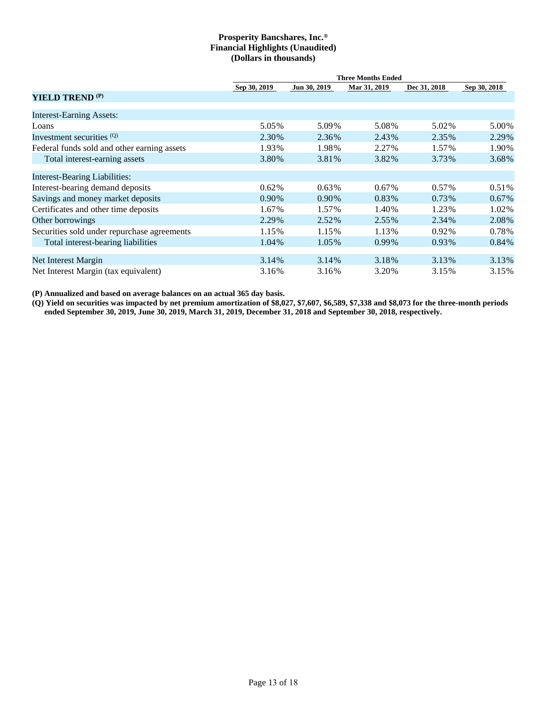|                                             | <b>Three Months Ended</b> |              |              |              |              |  |  |  |  |  |
|---------------------------------------------|---------------------------|--------------|--------------|--------------|--------------|--|--|--|--|--|
|                                             | Sep 30, 2019              | Jun 30, 2019 | Mar 31, 2019 | Dec 31, 2018 | Sep 30, 2018 |  |  |  |  |  |
| <b>YIELD TREND (P)</b>                      |                           |              |              |              |              |  |  |  |  |  |
| <b>Interest-Earning Assets:</b>             |                           |              |              |              |              |  |  |  |  |  |
| Loans                                       | 5.05%                     | 5.09%        | 5.08%        | 5.02%        | 5.00%        |  |  |  |  |  |
| Investment securities (Q)                   | 2.30%                     | 2.36%        | 2.43%        | 2.35%        | 2.29%        |  |  |  |  |  |
| Federal funds sold and other earning assets | 1.93%                     | 1.98%        | 2.27%        | 1.57%        | 1.90%        |  |  |  |  |  |
| Total interest-earning assets               | 3.80%                     | 3.81%        | 3.82%        | 3.73%        | 3.68%        |  |  |  |  |  |
| <b>Interest-Bearing Liabilities:</b>        |                           |              |              |              |              |  |  |  |  |  |
| Interest-bearing demand deposits            | 0.62%                     | $0.63\%$     | 0.67%        | $0.57\%$     | 0.51%        |  |  |  |  |  |
| Savings and money market deposits           | 0.90%                     | 0.90%        | 0.83%        | 0.73%        | $0.67\%$     |  |  |  |  |  |
| Certificates and other time deposits        | 1.67%                     | 1.57%        | 1.40%        | 1.23%        | 1.02%        |  |  |  |  |  |
| Other borrowings                            | 2.29%                     | 2.52%        | 2.55%        | 2.34%        | 2.08%        |  |  |  |  |  |
| Securities sold under repurchase agreements | 1.15%                     | 1.15%        | 1.13%        | 0.92%        | 0.78%        |  |  |  |  |  |
| Total interest-bearing liabilities          | 1.04%                     | 1.05%        | 0.99%        | 0.93%        | $0.84\%$     |  |  |  |  |  |
| Net Interest Margin                         | 3.14%                     | 3.14%        | 3.18%        | 3.13%        | 3.13%        |  |  |  |  |  |
| Net Interest Margin (tax equivalent)        | 3.16%                     | 3.16%        | 3.20%        | 3.15%        | 3.15%        |  |  |  |  |  |

**(P) Annualized and based on average balances on an actual 365 day basis.**

**(Q) Yield on securities was impacted by net premium amortization of \$8,027, \$7,607, \$6,589, \$7,338 and \$8,073 for the three-month periods ended September 30, 2019, June 30, 2019, March 31, 2019, December 31, 2018 and September 30, 2018, respectively.**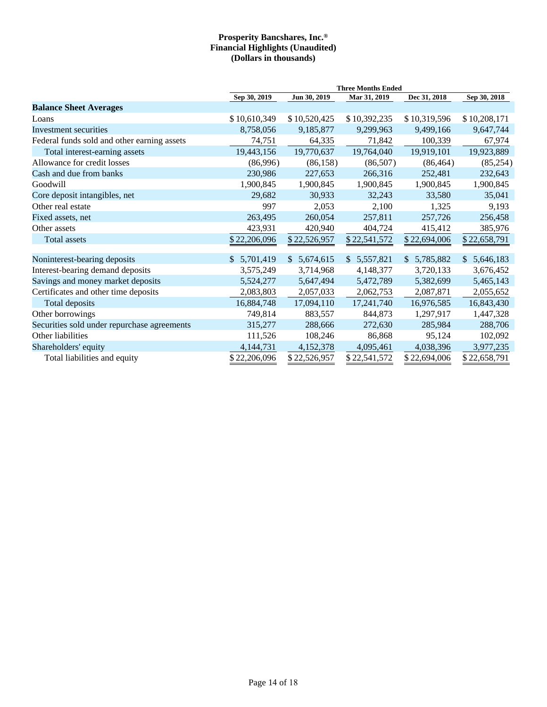|                                             | <b>Three Months Ended</b> |              |              |              |                  |  |  |
|---------------------------------------------|---------------------------|--------------|--------------|--------------|------------------|--|--|
|                                             | Sep 30, 2019              | Jun 30, 2019 | Mar 31, 2019 | Dec 31, 2018 | Sep 30, 2018     |  |  |
| <b>Balance Sheet Averages</b>               |                           |              |              |              |                  |  |  |
| Loans                                       | \$10,610,349              | \$10,520,425 | \$10,392,235 | \$10,319,596 | \$10,208,171     |  |  |
| Investment securities                       | 8,758,056                 | 9,185,877    | 9,299,963    | 9,499,166    | 9,647,744        |  |  |
| Federal funds sold and other earning assets | 74,751                    | 64,335       | 71,842       | 100,339      | 67,974           |  |  |
| Total interest-earning assets               | 19,443,156                | 19,770,637   | 19,764,040   | 19,919,101   | 19,923,889       |  |  |
| Allowance for credit losses                 | (86,996)                  | (86, 158)    | (86,507)     | (86, 464)    | (85, 254)        |  |  |
| Cash and due from banks                     | 230,986                   | 227,653      | 266,316      | 252,481      | 232,643          |  |  |
| Goodwill                                    | 1,900,845                 | 1,900,845    | 1,900,845    | 1,900,845    | 1,900,845        |  |  |
| Core deposit intangibles, net               | 29,682                    | 30,933       | 32,243       | 33,580       | 35,041           |  |  |
| Other real estate                           | 997                       | 2,053        | 2,100        | 1,325        | 9,193            |  |  |
| Fixed assets, net                           | 263,495                   | 260,054      | 257,811      | 257,726      | 256,458          |  |  |
| Other assets                                | 423,931                   | 420,940      | 404,724      | 415,412      | 385,976          |  |  |
| Total assets                                | \$22,206,096              | \$22,526,957 | \$22,541,572 | \$22,694,006 | \$22,658,791     |  |  |
|                                             |                           |              |              |              |                  |  |  |
| Noninterest-bearing deposits                | \$5,701,419               | \$5,674,615  | \$5,557,821  | \$5,785,882  | 5,646,183<br>\$. |  |  |
| Interest-bearing demand deposits            | 3,575,249                 | 3,714,968    | 4,148,377    | 3,720,133    | 3,676,452        |  |  |
| Savings and money market deposits           | 5,524,277                 | 5,647,494    | 5,472,789    | 5,382,699    | 5,465,143        |  |  |
| Certificates and other time deposits        | 2,083,803                 | 2,057,033    | 2,062,753    | 2,087,871    | 2,055,652        |  |  |
| Total deposits                              | 16,884,748                | 17,094,110   | 17,241,740   | 16,976,585   | 16,843,430       |  |  |
| Other borrowings                            | 749,814                   | 883,557      | 844,873      | 1,297,917    | 1,447,328        |  |  |
| Securities sold under repurchase agreements | 315,277                   | 288,666      | 272,630      | 285,984      | 288,706          |  |  |
| Other liabilities                           | 111,526                   | 108,246      | 86,868       | 95,124       | 102,092          |  |  |
| Shareholders' equity                        | 4, 144, 731               | 4,152,378    | 4,095,461    | 4,038,396    | 3,977,235        |  |  |
| Total liabilities and equity                | \$22,206,096              | \$22,526,957 | \$22,541,572 | \$22,694,006 | \$22,658,791     |  |  |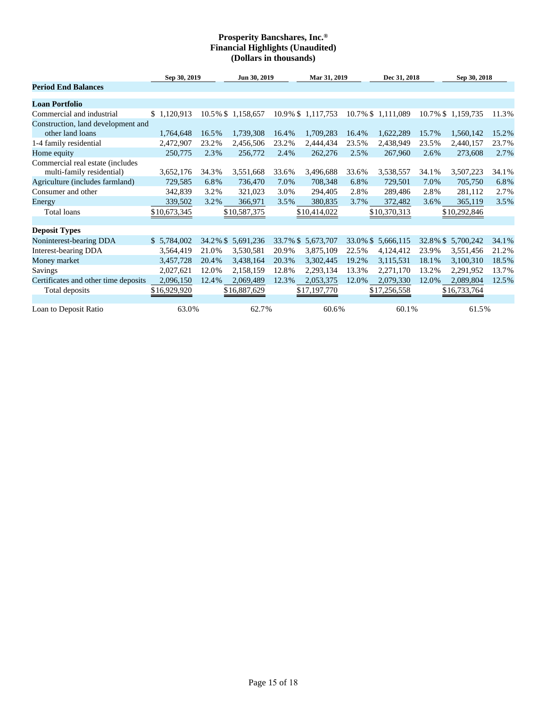|                                                               | Sep 30, 2019 |          | Jun 30, 2019      |       | Mar 31, 2019       |          | Dec 31, 2018       |          | Sep 30, 2018      |       |  |
|---------------------------------------------------------------|--------------|----------|-------------------|-------|--------------------|----------|--------------------|----------|-------------------|-------|--|
| <b>Period End Balances</b>                                    |              |          |                   |       |                    |          |                    |          |                   |       |  |
| <b>Loan Portfolio</b>                                         |              |          |                   |       |                    |          |                    |          |                   |       |  |
| Commercial and industrial                                     | \$1,120,913  |          | 10.5% \$1,158,657 |       | 10.9% \$1,117,753  |          | 10.7% \$ 1,111,089 |          | 10.7% \$1,159,735 | 11.3% |  |
| Construction, land development and                            |              |          |                   |       |                    |          |                    |          |                   |       |  |
| other land loans                                              | 1,764,648    | 16.5%    | 1,739,308         | 16.4% | 1,709,283          | 16.4%    | 1,622,289          | 15.7%    | 1,560,142         | 15.2% |  |
| 1-4 family residential                                        | 2,472,907    | 23.2%    | 2,456,506         | 23.2% | 2,444,434          | 23.5%    | 2,438,949          | 23.5%    | 2,440,157         | 23.7% |  |
| Home equity                                                   | 250,775      | 2.3%     | 256,772           | 2.4%  | 262,276            | 2.5%     | 267,960            | 2.6%     | 273,608           | 2.7%  |  |
| Commercial real estate (includes<br>multi-family residential) | 3,652,176    | 34.3%    | 3,551,668         | 33.6% | 3,496,688          | 33.6%    | 3,538,557          | 34.1%    | 3,507,223         | 34.1% |  |
| Agriculture (includes farmland)                               | 729,585      | 6.8%     | 736,470           | 7.0%  | 708,348            | 6.8%     | 729,501            | 7.0%     | 705,750           | 6.8%  |  |
| Consumer and other                                            | 342,839      | 3.2%     | 321,023           | 3.0%  | 294,405            | 2.8%     | 289,486            | 2.8%     | 281,112           | 2.7%  |  |
| Energy                                                        | 339,502      | 3.2%     | 366,971           | 3.5%  | 380,835            | 3.7%     | 372,482            | 3.6%     | 365,119           | 3.5%  |  |
| Total loans                                                   | \$10,673,345 |          | \$10,587,375      |       | \$10,414,022       |          | \$10,370,313       |          | \$10,292,846      |       |  |
| <b>Deposit Types</b>                                          |              |          |                   |       |                    |          |                    |          |                   |       |  |
| Noninterest-bearing DDA                                       | \$5,784,002  | 34.2% \$ | 5,691,236         |       | 33.7% \$ 5,673,707 | 33.0% \$ | 5,666,115          | 32.8% \$ | 5,700,242         | 34.1% |  |
| <b>Interest-bearing DDA</b>                                   | 3,564,419    | 21.0%    | 3,530,581         | 20.9% | 3,875,109          | 22.5%    | 4,124,412          | 23.9%    | 3,551,456         | 21.2% |  |
| Money market                                                  | 3,457,728    | 20.4%    | 3,438,164         | 20.3% | 3,302,445          | 19.2%    | 3,115,531          | 18.1%    | 3,100,310         | 18.5% |  |
| <b>Savings</b>                                                | 2,027,621    | 12.0%    | 2,158,159         | 12.8% | 2,293,134          | 13.3%    | 2,271,170          | 13.2%    | 2,291,952         | 13.7% |  |
| Certificates and other time deposits                          | 2,096,150    | 12.4%    | 2,069,489         | 12.3% | 2,053,375          | 12.0%    | 2,079,330          | 12.0%    | 2,089,804         | 12.5% |  |
| Total deposits                                                | \$16,929,920 |          | \$16,887,629      |       | \$17,197,770       |          | \$17,256,558       |          | \$16,733,764      |       |  |
| Loan to Deposit Ratio                                         | 63.0%        |          | 62.7%             |       | 60.6%              |          | 60.1%              |          | 61.5%             |       |  |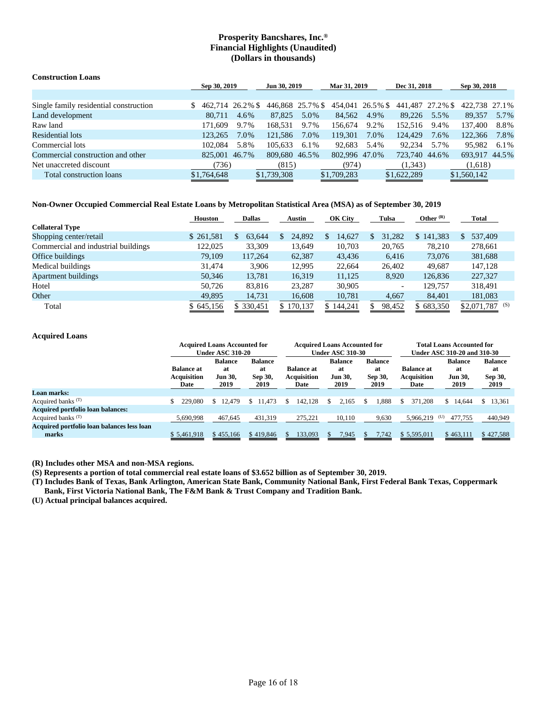| <b>Construction Loans</b>              |                  |      |                  |      |                  |      |                  |      |               |      |
|----------------------------------------|------------------|------|------------------|------|------------------|------|------------------|------|---------------|------|
|                                        | Sep 30, 2019     |      | Jun 30, 2019     |      | Mar 31, 2019     |      | Dec 31, 2018     |      | Sep 30, 2018  |      |
|                                        |                  |      |                  |      |                  |      |                  |      |               |      |
| Single family residential construction | 462.714 26.2% \$ |      | 446,868 25.7% \$ |      | 454,041 26.5% \$ |      | 441,487 27.2% \$ |      | 422,738 27.1% |      |
| Land development                       | 80.711           | 4.6% | 87,825           | 5.0% | 84,562           | 4.9% | 89.226           | 5.5% | 89.357        | 5.7% |
| Raw land                               | 171,609          | 9.7% | 168.531          | 9.7% | 156.674          | 9.2% | 152.516          | 9.4% | 137,400       | 8.8% |
| Residential lots                       | 123.265          | 7.0% | 121.586          | 7.0% | 119.301          | 7.0% | 124,429          | 7.6% | 122,366       | 7.8% |
| Commercial lots                        | 102.084          | 5.8% | 105.633          | 6.1% | 92.683           | 5.4% | 92.234           | 5.7% | 95.982        | 6.1% |
| Commercial construction and other      | 825,001 46.7%    |      | 809.680 46.5%    |      | 802.996 47.0%    |      | 723,740 44.6%    |      | 693.917 44.5% |      |
| Net unaccreted discount                | (736)            |      | (815)            |      | (974)            |      | (1,343)          |      | (1,618)       |      |
| Total construction loans               | \$1,764,648      |      | \$1,739,308      |      | \$1,709,283      |      | \$1,622,289      |      | \$1,560,142   |      |

### **Non-Owner Occupied Commercial Real Estate Loans by Metropolitan Statistical Area (MSA) as of September 30, 2019**

|                                     | <b>Houston</b> | <b>Dallas</b> | <b>Austin</b> | OK City     | Tulsa  | Other $(R)$ | <b>Total</b>       |
|-------------------------------------|----------------|---------------|---------------|-------------|--------|-------------|--------------------|
| <b>Collateral Type</b>              |                |               |               |             |        |             |                    |
| Shopping center/retail              | \$261,581      | 63,644<br>\$. | 24,892        | 14,627<br>S | 31,282 | \$141,383   | 537,409<br>\$.     |
| Commercial and industrial buildings | 122,025        | 33,309        | 13,649        | 10,703      | 20,765 | 78,210      | 278,661            |
| Office buildings                    | 79,109         | 117.264       | 62,387        | 43,436      | 6,416  | 73,076      | 381,688            |
| Medical buildings                   | 31.474         | 3.906         | 12,995        | 22,664      | 26,402 | 49.687      | 147,128            |
| <b>Apartment buildings</b>          | 50,346         | 13,781        | 16,319        | 11,125      | 8,920  | 126,836     | 227,327            |
| Hotel                               | 50.726         | 83,816        | 23.287        | 30,905      |        | 129,757     | 318,491            |
| Other                               | 49,895         | 14,731        | 16,608        | 10,781      | 4,667  | 84,401      | 181,083            |
| Total                               | \$645,156      | \$ 330,451    | \$170,137     | \$144,241   | 98,452 | \$683,350   | (S)<br>\$2,071,787 |
|                                     |                |               |               |             |        |             |                    |

### **Acquired Loans**

|                                                     |                                                 | <b>Acquired Loans Accounted for</b><br><b>Under ASC 310-20</b> |                                         |                                                 | <b>Acquired Loans Accounted for</b><br><b>Under ASC 310-30</b> |                                         | <b>Total Loans Accounted for</b><br>Under ASC 310-20 and 310-30 |                                                |                                          |  |
|-----------------------------------------------------|-------------------------------------------------|----------------------------------------------------------------|-----------------------------------------|-------------------------------------------------|----------------------------------------------------------------|-----------------------------------------|-----------------------------------------------------------------|------------------------------------------------|------------------------------------------|--|
|                                                     | <b>Balance at</b><br><b>Acquisition</b><br>Date | <b>Balance</b><br>at<br><b>Jun 30.</b><br>2019                 | <b>Balance</b><br>at<br>Sep 30,<br>2019 | <b>Balance at</b><br><b>Acquisition</b><br>Date | <b>Balance</b><br>at<br><b>Jun 30.</b><br>2019                 | <b>Balance</b><br>at<br>Sep 30,<br>2019 | <b>Balance at</b><br><b>Acquisition</b><br>Date                 | <b>Balance</b><br>at<br><b>Jun 30,</b><br>2019 | <b>Balance</b><br>-at<br>Sep 30,<br>2019 |  |
| <b>Loan marks:</b>                                  |                                                 |                                                                |                                         |                                                 |                                                                |                                         |                                                                 |                                                |                                          |  |
| Acquired banks <sup>(T)</sup>                       | 229,080                                         | \$12,479                                                       | \$11.473                                | 142.128                                         | 2.165                                                          | 1.888                                   | 371.208<br>S                                                    | \$<br>14.644                                   | 13,361<br>\$                             |  |
| <b>Acquired portfolio loan balances:</b>            |                                                 |                                                                |                                         |                                                 |                                                                |                                         |                                                                 |                                                |                                          |  |
| Acquired banks <sup>(T)</sup>                       | 5.690.998                                       | 467.645                                                        | 431,319                                 | 275,221                                         | 10.110                                                         | 9,630                                   | 5.966.219                                                       | (U)<br>477.755                                 | 440,949                                  |  |
| Acquired portfolio loan balances less loan<br>marks | \$5,461,918                                     | \$455,166                                                      | \$419,846                               | 133,093                                         | 7.945                                                          | 7,742<br>N.                             | \$5,595,011                                                     | \$463,111                                      | \$427,588                                |  |

**(R) Includes other MSA and non-MSA regions.**

**(S) Represents a portion of total commercial real estate loans of \$3.652 billion as of September 30, 2019.**

**(T) Includes Bank of Texas, Bank Arlington, American State Bank, Community National Bank, First Federal Bank Texas, Coppermark Bank, First Victoria National Bank, The F&M Bank & Trust Company and Tradition Bank.**

**(U) Actual principal balances acquired.**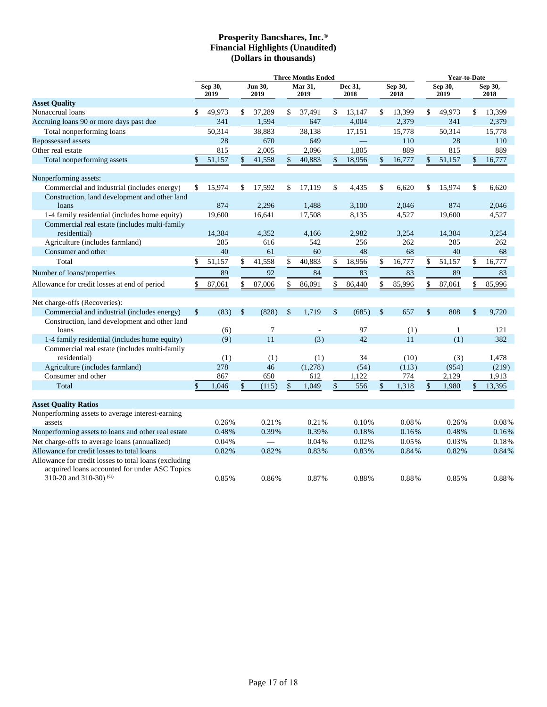|                                                                                                                                    |                 | <b>Three Months Ended</b> |                 |                          |                 |         |                 |        |                 |        |                 | <b>Year-to-Date</b> |                 |        |  |
|------------------------------------------------------------------------------------------------------------------------------------|-----------------|---------------------------|-----------------|--------------------------|-----------------|---------|-----------------|--------|-----------------|--------|-----------------|---------------------|-----------------|--------|--|
|                                                                                                                                    | Sep 30,<br>2019 |                           | Jun 30,<br>2019 |                          | Mar 31,<br>2019 |         | Dec 31,<br>2018 |        | Sep 30,<br>2018 |        | Sep 30,<br>2019 |                     | Sep 30,<br>2018 |        |  |
| <b>Asset Quality</b>                                                                                                               |                 |                           |                 |                          |                 |         |                 |        |                 |        |                 |                     |                 |        |  |
| Nonaccrual loans                                                                                                                   | \$              | 49,973                    | \$              | 37,289                   | \$              | 37,491  | \$              | 13,147 | \$              | 13,399 | \$              | 49,973              | \$              | 13,399 |  |
| Accruing loans 90 or more days past due                                                                                            |                 | 341                       |                 | 1,594                    |                 | 647     |                 | 4,004  |                 | 2,379  |                 | 341                 |                 | 2,379  |  |
| Total nonperforming loans                                                                                                          |                 | 50,314                    |                 | 38,883                   |                 | 38,138  |                 | 17,151 |                 | 15,778 |                 | 50,314              |                 | 15,778 |  |
| Repossessed assets                                                                                                                 |                 | 28                        |                 | 670                      |                 | 649     |                 |        |                 | 110    |                 | 28                  |                 | 110    |  |
| Other real estate                                                                                                                  |                 | 815                       |                 | 2,005                    |                 | 2,096   |                 | 1,805  |                 | 889    |                 | 815                 |                 | 889    |  |
| Total nonperforming assets                                                                                                         | \$              | 51,157                    | $\mathbb{S}$    | 41,558                   |                 | 40,883  | \$              | 18,956 | \$              | 16,777 | \$              | 51,157              | \$              | 16,777 |  |
| Nonperforming assets:                                                                                                              |                 |                           |                 |                          |                 |         |                 |        |                 |        |                 |                     |                 |        |  |
| Commercial and industrial (includes energy)                                                                                        | \$              | 15,974                    | S               | 17,592                   | \$              | 17,119  | \$              | 4,435  | \$              | 6,620  | \$              | 15,974              | \$              | 6,620  |  |
| Construction, land development and other land                                                                                      |                 |                           |                 |                          |                 |         |                 |        |                 |        |                 |                     |                 |        |  |
| loans                                                                                                                              |                 | 874                       |                 | 2,296                    |                 | 1,488   |                 | 3,100  |                 | 2,046  |                 | 874                 |                 | 2,046  |  |
| 1-4 family residential (includes home equity)                                                                                      |                 | 19,600                    |                 | 16,641                   |                 | 17,508  |                 | 8,135  |                 | 4,527  |                 | 19,600              |                 | 4,527  |  |
| Commercial real estate (includes multi-family                                                                                      |                 |                           |                 |                          |                 |         |                 |        |                 |        |                 |                     |                 |        |  |
| residential)                                                                                                                       |                 | 14,384                    |                 | 4,352                    |                 | 4,166   |                 | 2,982  |                 | 3,254  |                 | 14,384              |                 | 3,254  |  |
| Agriculture (includes farmland)                                                                                                    |                 | 285                       |                 | 616                      |                 | 542     |                 | 256    |                 | 262    |                 | 285                 |                 | 262    |  |
| Consumer and other                                                                                                                 |                 | 40                        |                 | 61                       |                 | 60      |                 | 48     |                 | 68     |                 | 40                  |                 | 68     |  |
| Total                                                                                                                              | \$              | 51,157                    | \$              | 41,558                   | \$              | 40,883  | \$              | 18,956 | \$              | 16,777 | \$              | 51,157              | \$              | 16,777 |  |
| Number of loans/properties                                                                                                         |                 | 89                        |                 | 92                       |                 | 84      |                 | 83     |                 | 83     |                 | 89                  |                 | 83     |  |
| Allowance for credit losses at end of period                                                                                       | \$              | 87,061                    | \$              | 87,006                   | \$              | 86,091  | \$              | 86,440 | \$              | 85,996 | \$              | 87,061              | \$              | 85,996 |  |
| Net charge-offs (Recoveries):                                                                                                      |                 |                           |                 |                          |                 |         |                 |        |                 |        |                 |                     |                 |        |  |
| Commercial and industrial (includes energy)                                                                                        | $\mathsf{\$}$   | (83)                      | $\mathcal{S}$   | (828)                    | $\mathsf{\$}$   | 1,719   | \$              | (685)  | \$              | 657    | $\mathsf{\$}$   | 808                 | \$              | 9,720  |  |
| Construction, land development and other land<br>loans                                                                             |                 | (6)                       |                 | 7                        |                 |         |                 | 97     |                 | (1)    |                 | 1                   |                 | 121    |  |
| 1-4 family residential (includes home equity)                                                                                      |                 | (9)                       |                 | 11                       |                 | (3)     |                 | 42     |                 | 11     |                 | (1)                 |                 | 382    |  |
| Commercial real estate (includes multi-family                                                                                      |                 |                           |                 |                          |                 |         |                 |        |                 |        |                 |                     |                 |        |  |
| residential)                                                                                                                       |                 | (1)                       |                 | (1)                      |                 | (1)     |                 | 34     |                 | (10)   |                 | (3)                 |                 | 1,478  |  |
| Agriculture (includes farmland)                                                                                                    |                 | 278                       |                 | 46                       |                 | (1,278) |                 | (54)   |                 | (113)  |                 | (954)               |                 | (219)  |  |
| Consumer and other                                                                                                                 |                 | 867                       |                 | 650                      |                 | 612     |                 | 1,122  |                 | 774    |                 | 2,129               |                 | 1,913  |  |
| Total                                                                                                                              | \$              | 1,046                     | \$              | (115)                    |                 | 1,049   | \$              | 556    | \$              | 1,318  | \$              | 1,980               | \$              | 13,395 |  |
| <b>Asset Quality Ratios</b>                                                                                                        |                 |                           |                 |                          |                 |         |                 |        |                 |        |                 |                     |                 |        |  |
| Nonperforming assets to average interest-earning                                                                                   |                 |                           |                 |                          |                 |         |                 |        |                 |        |                 |                     |                 |        |  |
| assets                                                                                                                             |                 | 0.26%                     |                 | 0.21%                    |                 | 0.21%   |                 | 0.10%  |                 | 0.08%  |                 | 0.26%               |                 | 0.08%  |  |
| Nonperforming assets to loans and other real estate                                                                                |                 | 0.48%                     |                 | 0.39%                    |                 | 0.39%   |                 | 0.18%  |                 | 0.16%  |                 | 0.48%               |                 | 0.16%  |  |
| Net charge-offs to average loans (annualized)                                                                                      |                 | 0.04%                     |                 | $\overline{\phantom{0}}$ |                 | 0.04%   |                 | 0.02%  |                 | 0.05%  |                 | 0.03%               |                 | 0.18%  |  |
| Allowance for credit losses to total loans                                                                                         |                 | 0.82%                     |                 | 0.82%                    |                 | 0.83%   |                 | 0.83%  |                 | 0.84%  |                 | 0.82%               |                 | 0.84%  |  |
| Allowance for credit losses to total loans (excluding<br>acquired loans accounted for under ASC Topics<br>310-20 and 310-30) $(G)$ |                 | 0.85%                     |                 | 0.86%                    |                 | 0.87%   |                 | 0.88%  |                 | 0.88%  |                 | 0.85%               |                 | 0.88%  |  |